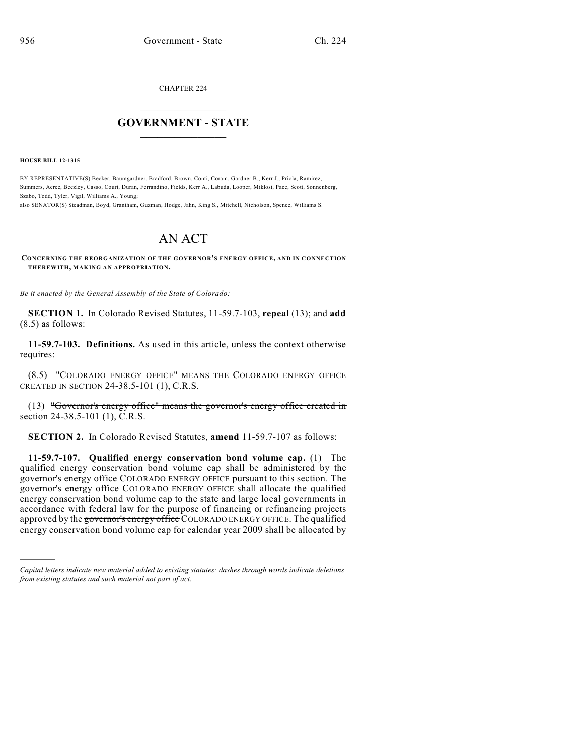CHAPTER 224

## $\mathcal{L}_\text{max}$  . The set of the set of the set of the set of the set of the set of the set of the set of the set of the set of the set of the set of the set of the set of the set of the set of the set of the set of the set **GOVERNMENT - STATE**  $\_$   $\_$

**HOUSE BILL 12-1315**

)))))

BY REPRESENTATIVE(S) Becker, Baumgardner, Bradford, Brown, Conti, Coram, Gardner B., Kerr J., Priola, Ramirez, Summers, Acree, Beezley, Casso, Court, Duran, Ferrandino, Fields, Kerr A., Labuda, Looper, Miklosi, Pace, Scott, Sonnenberg, Szabo, Todd, Tyler, Vigil, Williams A., Young;

also SENATOR(S) Steadman, Boyd, Grantham, Guzman, Hodge, Jahn, King S., Mitchell, Nicholson, Spence, Williams S.

## AN ACT

**CONCERNING THE REORGANIZATION OF THE GOVERNOR'S ENERGY OFFICE, AND IN CONNECTION THEREWITH, MAKING AN APPROPRIATION.**

*Be it enacted by the General Assembly of the State of Colorado:*

**SECTION 1.** In Colorado Revised Statutes, 11-59.7-103, **repeal** (13); and **add** (8.5) as follows:

**11-59.7-103. Definitions.** As used in this article, unless the context otherwise requires:

(8.5) "COLORADO ENERGY OFFICE" MEANS THE COLORADO ENERGY OFFICE CREATED IN SECTION 24-38.5-101 (1), C.R.S.

(13) "Governor's energy office" means the governor's energy office created in section 24-38.5-101 (1), C.R.S.

**SECTION 2.** In Colorado Revised Statutes, **amend** 11-59.7-107 as follows:

**11-59.7-107. Qualified energy conservation bond volume cap.** (1) The qualified energy conservation bond volume cap shall be administered by the governor's energy office COLORADO ENERGY OFFICE pursuant to this section. The governor's energy office COLORADO ENERGY OFFICE shall allocate the qualified energy conservation bond volume cap to the state and large local governments in accordance with federal law for the purpose of financing or refinancing projects approved by the governor's energy office COLORADO ENERGY OFFICE. The qualified energy conservation bond volume cap for calendar year 2009 shall be allocated by

*Capital letters indicate new material added to existing statutes; dashes through words indicate deletions from existing statutes and such material not part of act.*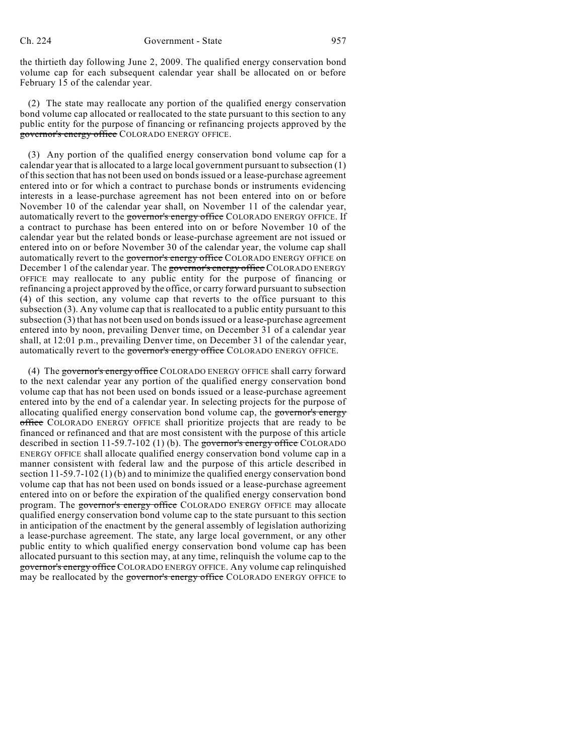the thirtieth day following June 2, 2009. The qualified energy conservation bond volume cap for each subsequent calendar year shall be allocated on or before February 15 of the calendar year.

(2) The state may reallocate any portion of the qualified energy conservation bond volume cap allocated or reallocated to the state pursuant to this section to any public entity for the purpose of financing or refinancing projects approved by the governor's energy office COLORADO ENERGY OFFICE.

(3) Any portion of the qualified energy conservation bond volume cap for a calendar year that is allocated to a large local government pursuant to subsection (1) of this section that has not been used on bonds issued or a lease-purchase agreement entered into or for which a contract to purchase bonds or instruments evidencing interests in a lease-purchase agreement has not been entered into on or before November 10 of the calendar year shall, on November 11 of the calendar year, automatically revert to the governor's energy office COLORADO ENERGY OFFICE. If a contract to purchase has been entered into on or before November 10 of the calendar year but the related bonds or lease-purchase agreement are not issued or entered into on or before November 30 of the calendar year, the volume cap shall automatically revert to the governor's energy office COLORADO ENERGY OFFICE on December 1 of the calendar year. The governor's energy office COLORADO ENERGY OFFICE may reallocate to any public entity for the purpose of financing or refinancing a project approved by the office, or carry forward pursuant to subsection (4) of this section, any volume cap that reverts to the office pursuant to this subsection (3). Any volume cap that is reallocated to a public entity pursuant to this subsection (3) that has not been used on bonds issued or a lease-purchase agreement entered into by noon, prevailing Denver time, on December 31 of a calendar year shall, at 12:01 p.m., prevailing Denver time, on December 31 of the calendar year, automatically revert to the governor's energy office COLORADO ENERGY OFFICE.

(4) The governor's energy office COLORADO ENERGY OFFICE shall carry forward to the next calendar year any portion of the qualified energy conservation bond volume cap that has not been used on bonds issued or a lease-purchase agreement entered into by the end of a calendar year. In selecting projects for the purpose of allocating qualified energy conservation bond volume cap, the governor's energy office COLORADO ENERGY OFFICE shall prioritize projects that are ready to be financed or refinanced and that are most consistent with the purpose of this article described in section 11-59.7-102 (1) (b). The governor's energy office COLORADO ENERGY OFFICE shall allocate qualified energy conservation bond volume cap in a manner consistent with federal law and the purpose of this article described in section 11-59.7-102 (1) (b) and to minimize the qualified energy conservation bond volume cap that has not been used on bonds issued or a lease-purchase agreement entered into on or before the expiration of the qualified energy conservation bond program. The governor's energy office COLORADO ENERGY OFFICE may allocate qualified energy conservation bond volume cap to the state pursuant to this section in anticipation of the enactment by the general assembly of legislation authorizing a lease-purchase agreement. The state, any large local government, or any other public entity to which qualified energy conservation bond volume cap has been allocated pursuant to this section may, at any time, relinquish the volume cap to the governor's energy office COLORADO ENERGY OFFICE. Any volume cap relinquished may be reallocated by the governor's energy office COLORADO ENERGY OFFICE to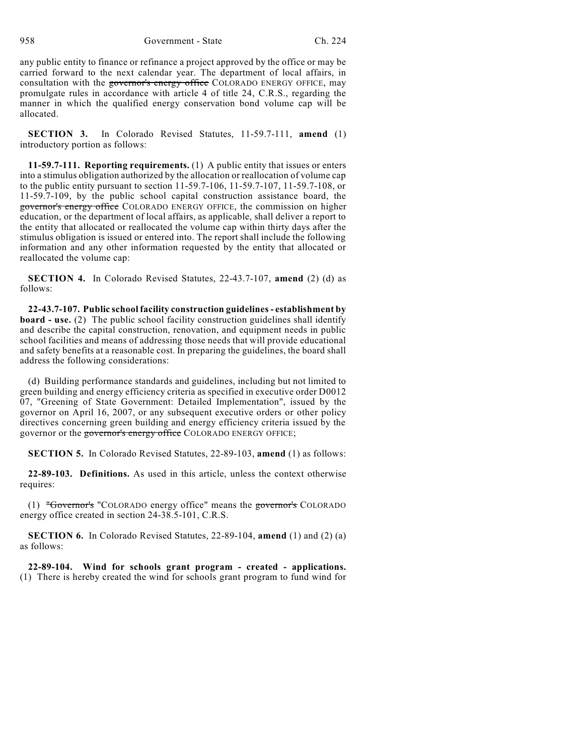958 Government - State Ch. 224

any public entity to finance or refinance a project approved by the office or may be carried forward to the next calendar year. The department of local affairs, in consultation with the governor's energy office COLORADO ENERGY OFFICE, may promulgate rules in accordance with article 4 of title 24, C.R.S., regarding the manner in which the qualified energy conservation bond volume cap will be allocated.

**SECTION 3.** In Colorado Revised Statutes, 11-59.7-111, **amend** (1) introductory portion as follows:

**11-59.7-111. Reporting requirements.** (1) A public entity that issues or enters into a stimulus obligation authorized by the allocation or reallocation of volume cap to the public entity pursuant to section 11-59.7-106, 11-59.7-107, 11-59.7-108, or 11-59.7-109, by the public school capital construction assistance board, the governor's energy office COLORADO ENERGY OFFICE, the commission on higher education, or the department of local affairs, as applicable, shall deliver a report to the entity that allocated or reallocated the volume cap within thirty days after the stimulus obligation is issued or entered into. The report shall include the following information and any other information requested by the entity that allocated or reallocated the volume cap:

**SECTION 4.** In Colorado Revised Statutes, 22-43.7-107, **amend** (2) (d) as follows:

**22-43.7-107. Public school facility construction guidelines- establishment by board - use.** (2) The public school facility construction guidelines shall identify and describe the capital construction, renovation, and equipment needs in public school facilities and means of addressing those needs that will provide educational and safety benefits at a reasonable cost. In preparing the guidelines, the board shall address the following considerations:

(d) Building performance standards and guidelines, including but not limited to green building and energy efficiency criteria as specified in executive order D0012 07, "Greening of State Government: Detailed Implementation", issued by the governor on April 16, 2007, or any subsequent executive orders or other policy directives concerning green building and energy efficiency criteria issued by the governor or the governor's energy office COLORADO ENERGY OFFICE;

**SECTION 5.** In Colorado Revised Statutes, 22-89-103, **amend** (1) as follows:

**22-89-103. Definitions.** As used in this article, unless the context otherwise requires:

(1) "Governor's "COLORADO energy office" means the governor's COLORADO energy office created in section 24-38.5-101, C.R.S.

**SECTION 6.** In Colorado Revised Statutes, 22-89-104, **amend** (1) and (2) (a) as follows:

**22-89-104. Wind for schools grant program - created - applications.** (1) There is hereby created the wind for schools grant program to fund wind for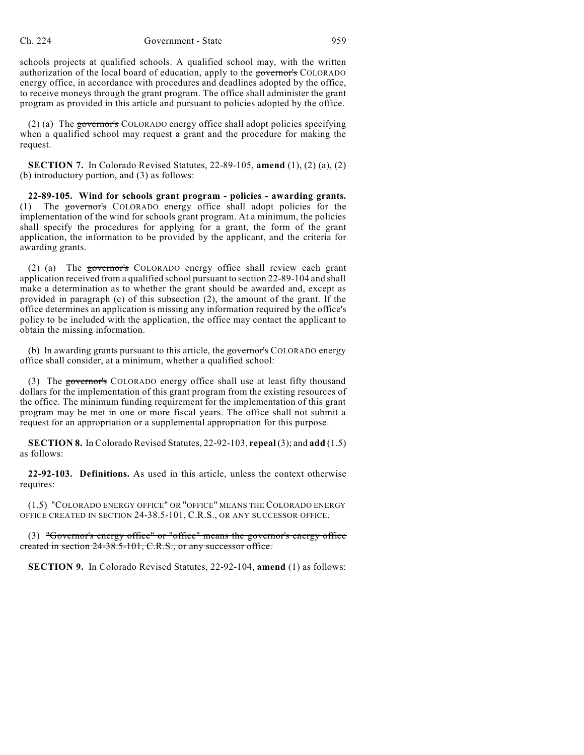schools projects at qualified schools. A qualified school may, with the written authorization of the local board of education, apply to the governor's COLORADO energy office, in accordance with procedures and deadlines adopted by the office, to receive moneys through the grant program. The office shall administer the grant program as provided in this article and pursuant to policies adopted by the office.

(2) (a) The governor's COLORADO energy office shall adopt policies specifying when a qualified school may request a grant and the procedure for making the request.

**SECTION 7.** In Colorado Revised Statutes, 22-89-105, **amend** (1), (2) (a), (2) (b) introductory portion, and (3) as follows:

**22-89-105. Wind for schools grant program - policies - awarding grants.** (1) The governor's COLORADO energy office shall adopt policies for the implementation of the wind for schools grant program. At a minimum, the policies shall specify the procedures for applying for a grant, the form of the grant application, the information to be provided by the applicant, and the criteria for awarding grants.

(2) (a) The governor's COLORADO energy office shall review each grant application received from a qualified school pursuant to section 22-89-104 and shall make a determination as to whether the grant should be awarded and, except as provided in paragraph (c) of this subsection (2), the amount of the grant. If the office determines an application is missing any information required by the office's policy to be included with the application, the office may contact the applicant to obtain the missing information.

(b) In awarding grants pursuant to this article, the governor's COLORADO energy office shall consider, at a minimum, whether a qualified school:

(3) The governor's COLORADO energy office shall use at least fifty thousand dollars for the implementation of this grant program from the existing resources of the office. The minimum funding requirement for the implementation of this grant program may be met in one or more fiscal years. The office shall not submit a request for an appropriation or a supplemental appropriation for this purpose.

**SECTION 8.** In Colorado Revised Statutes, 22-92-103, **repeal** (3); and **add** (1.5) as follows:

**22-92-103. Definitions.** As used in this article, unless the context otherwise requires:

(1.5) "COLORADO ENERGY OFFICE" OR "OFFICE" MEANS THE COLORADO ENERGY OFFICE CREATED IN SECTION 24-38.5-101, C.R.S., OR ANY SUCCESSOR OFFICE.

(3) "Governor's energy office" or "office" means the governor's energy office created in section 24-38.5-101, C.R.S., or any successor office.

**SECTION 9.** In Colorado Revised Statutes, 22-92-104, **amend** (1) as follows: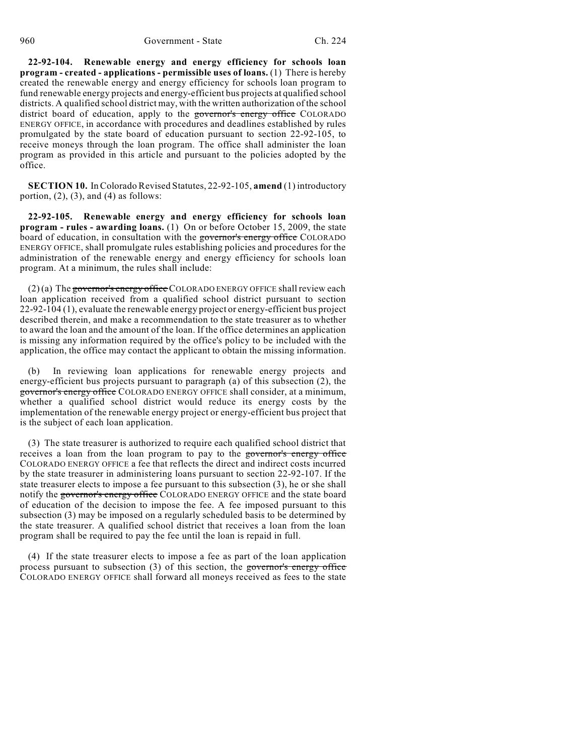**22-92-104. Renewable energy and energy efficiency for schools loan program - created - applications - permissible uses of loans.** (1) There is hereby created the renewable energy and energy efficiency for schools loan program to fund renewable energy projects and energy-efficient bus projects at qualified school districts. A qualified school district may, with the written authorization of the school district board of education, apply to the governor's energy office COLORADO ENERGY OFFICE, in accordance with procedures and deadlines established by rules promulgated by the state board of education pursuant to section 22-92-105, to receive moneys through the loan program. The office shall administer the loan program as provided in this article and pursuant to the policies adopted by the office.

**SECTION 10.** In Colorado Revised Statutes, 22-92-105, **amend** (1) introductory portion,  $(2)$ ,  $(3)$ , and  $(4)$  as follows:

**22-92-105. Renewable energy and energy efficiency for schools loan program - rules - awarding loans.** (1) On or before October 15, 2009, the state board of education, in consultation with the governor's energy office COLORADO ENERGY OFFICE, shall promulgate rules establishing policies and procedures for the administration of the renewable energy and energy efficiency for schools loan program. At a minimum, the rules shall include:

 $(2)$  (a) The governor's energy office COLORADO ENERGY OFFICE shall review each loan application received from a qualified school district pursuant to section 22-92-104 (1), evaluate the renewable energy project or energy-efficient bus project described therein, and make a recommendation to the state treasurer as to whether to award the loan and the amount of the loan. If the office determines an application is missing any information required by the office's policy to be included with the application, the office may contact the applicant to obtain the missing information.

(b) In reviewing loan applications for renewable energy projects and energy-efficient bus projects pursuant to paragraph (a) of this subsection (2), the governor's energy office COLORADO ENERGY OFFICE shall consider, at a minimum, whether a qualified school district would reduce its energy costs by the implementation of the renewable energy project or energy-efficient bus project that is the subject of each loan application.

(3) The state treasurer is authorized to require each qualified school district that receives a loan from the loan program to pay to the governor's energy office COLORADO ENERGY OFFICE a fee that reflects the direct and indirect costs incurred by the state treasurer in administering loans pursuant to section 22-92-107. If the state treasurer elects to impose a fee pursuant to this subsection (3), he or she shall notify the governor's energy office COLORADO ENERGY OFFICE and the state board of education of the decision to impose the fee. A fee imposed pursuant to this subsection (3) may be imposed on a regularly scheduled basis to be determined by the state treasurer. A qualified school district that receives a loan from the loan program shall be required to pay the fee until the loan is repaid in full.

(4) If the state treasurer elects to impose a fee as part of the loan application process pursuant to subsection (3) of this section, the governor's energy office COLORADO ENERGY OFFICE shall forward all moneys received as fees to the state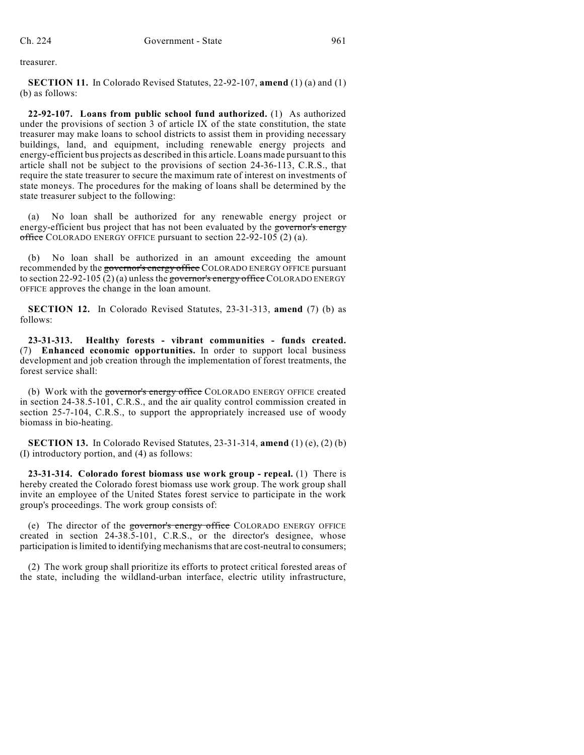treasurer.

**SECTION 11.** In Colorado Revised Statutes, 22-92-107, **amend** (1) (a) and (1) (b) as follows:

**22-92-107. Loans from public school fund authorized.** (1) As authorized under the provisions of section 3 of article IX of the state constitution, the state treasurer may make loans to school districts to assist them in providing necessary buildings, land, and equipment, including renewable energy projects and energy-efficient bus projects as described in this article. Loans made pursuant to this article shall not be subject to the provisions of section 24-36-113, C.R.S., that require the state treasurer to secure the maximum rate of interest on investments of state moneys. The procedures for the making of loans shall be determined by the state treasurer subject to the following:

(a) No loan shall be authorized for any renewable energy project or energy-efficient bus project that has not been evaluated by the governor's energy office COLORADO ENERGY OFFICE pursuant to section  $22-92-105$  (2) (a).

(b) No loan shall be authorized in an amount exceeding the amount recommended by the governor's energy office COLORADO ENERGY OFFICE pursuant to section 22-92-105 (2) (a) unless the governor's energy office COLORADO ENERGY OFFICE approves the change in the loan amount.

**SECTION 12.** In Colorado Revised Statutes, 23-31-313, **amend** (7) (b) as follows:

**23-31-313. Healthy forests - vibrant communities - funds created.** (7) **Enhanced economic opportunities.** In order to support local business development and job creation through the implementation of forest treatments, the forest service shall:

(b) Work with the governor's energy office COLORADO ENERGY OFFICE created in section 24-38.5-101, C.R.S., and the air quality control commission created in section 25-7-104, C.R.S., to support the appropriately increased use of woody biomass in bio-heating.

**SECTION 13.** In Colorado Revised Statutes, 23-31-314, **amend** (1) (e), (2) (b) (I) introductory portion, and (4) as follows:

**23-31-314. Colorado forest biomass use work group - repeal.** (1) There is hereby created the Colorado forest biomass use work group. The work group shall invite an employee of the United States forest service to participate in the work group's proceedings. The work group consists of:

(e) The director of the governor's energy office COLORADO ENERGY OFFICE created in section 24-38.5-101, C.R.S., or the director's designee, whose participation is limited to identifying mechanisms that are cost-neutral to consumers;

(2) The work group shall prioritize its efforts to protect critical forested areas of the state, including the wildland-urban interface, electric utility infrastructure,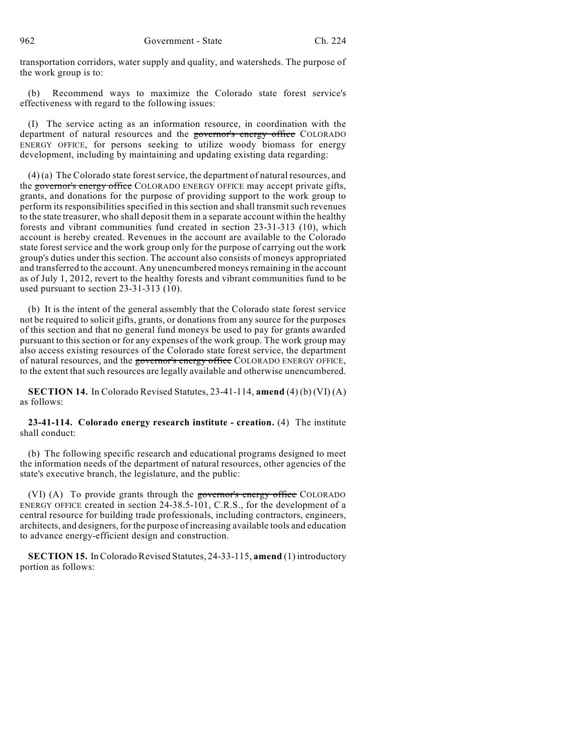transportation corridors, water supply and quality, and watersheds. The purpose of the work group is to:

(b) Recommend ways to maximize the Colorado state forest service's effectiveness with regard to the following issues:

(I) The service acting as an information resource, in coordination with the department of natural resources and the governor's energy office COLORADO ENERGY OFFICE, for persons seeking to utilize woody biomass for energy development, including by maintaining and updating existing data regarding:

 $(4)$  (a) The Colorado state forest service, the department of natural resources, and the governor's energy office COLORADO ENERGY OFFICE may accept private gifts, grants, and donations for the purpose of providing support to the work group to perform its responsibilities specified in thissection and shall transmitsuch revenues to the state treasurer, who shall deposit them in a separate account within the healthy forests and vibrant communities fund created in section 23-31-313 (10), which account is hereby created. Revenues in the account are available to the Colorado state forest service and the work group only for the purpose of carrying out the work group's duties under this section. The account also consists of moneys appropriated and transferred to the account. Any unencumbered moneys remaining in the account as of July 1, 2012, revert to the healthy forests and vibrant communities fund to be used pursuant to section 23-31-313 (10).

(b) It is the intent of the general assembly that the Colorado state forest service not be required to solicit gifts, grants, or donations from any source for the purposes of this section and that no general fund moneys be used to pay for grants awarded pursuant to this section or for any expenses of the work group. The work group may also access existing resources of the Colorado state forest service, the department of natural resources, and the governor's energy office COLORADO ENERGY OFFICE, to the extent that such resources are legally available and otherwise unencumbered.

**SECTION 14.** In Colorado Revised Statutes, 23-41-114, **amend** (4) (b) (VI) (A) as follows:

## **23-41-114. Colorado energy research institute - creation.** (4) The institute shall conduct:

(b) The following specific research and educational programs designed to meet the information needs of the department of natural resources, other agencies of the state's executive branch, the legislature, and the public:

(VI) (A) To provide grants through the governor's energy office COLORADO ENERGY OFFICE created in section 24-38.5-101, C.R.S., for the development of a central resource for building trade professionals, including contractors, engineers, architects, and designers, for the purpose of increasing available tools and education to advance energy-efficient design and construction.

**SECTION 15.** In Colorado Revised Statutes, 24-33-115, **amend** (1) introductory portion as follows: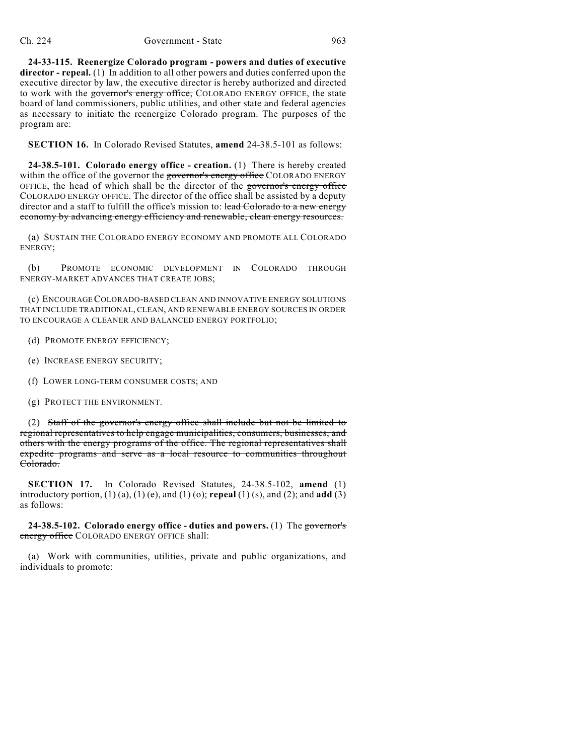**24-33-115. Reenergize Colorado program - powers and duties of executive director - repeal.** (1) In addition to all other powers and duties conferred upon the executive director by law, the executive director is hereby authorized and directed to work with the governor's energy office, COLORADO ENERGY OFFICE, the state board of land commissioners, public utilities, and other state and federal agencies as necessary to initiate the reenergize Colorado program. The purposes of the program are:

**SECTION 16.** In Colorado Revised Statutes, **amend** 24-38.5-101 as follows:

**24-38.5-101. Colorado energy office - creation.** (1) There is hereby created within the office of the governor the governor's energy office COLORADO ENERGY OFFICE, the head of which shall be the director of the governor's energy office COLORADO ENERGY OFFICE. The director of the office shall be assisted by a deputy director and a staff to fulfill the office's mission to: lead Colorado to a new energy economy by advancing energy efficiency and renewable, clean energy resources.

(a) SUSTAIN THE COLORADO ENERGY ECONOMY AND PROMOTE ALL COLORADO ENERGY;

(b) PROMOTE ECONOMIC DEVELOPMENT IN COLORADO THROUGH ENERGY-MARKET ADVANCES THAT CREATE JOBS;

(c) ENCOURAGECOLORADO-BASED CLEAN AND INNOVATIVE ENERGY SOLUTIONS THAT INCLUDE TRADITIONAL, CLEAN, AND RENEWABLE ENERGY SOURCES IN ORDER TO ENCOURAGE A CLEANER AND BALANCED ENERGY PORTFOLIO;

(d) PROMOTE ENERGY EFFICIENCY;

(e) INCREASE ENERGY SECURITY;

(f) LOWER LONG-TERM CONSUMER COSTS; AND

(g) PROTECT THE ENVIRONMENT.

(2) Staff of the governor's energy office shall include but not be limited to regional representatives to help engage municipalities, consumers, businesses, and others with the energy programs of the office. The regional representatives shall expedite programs and serve as a local resource to communities throughout Colorado.

**SECTION 17.** In Colorado Revised Statutes, 24-38.5-102, **amend** (1) introductory portion, (1) (a), (1) (e), and (1) (o); **repeal** (1) (s), and (2); and **add** (3) as follows:

**24-38.5-102. Colorado energy office - duties and powers.** (1) The governor's energy office COLORADO ENERGY OFFICE shall:

(a) Work with communities, utilities, private and public organizations, and individuals to promote: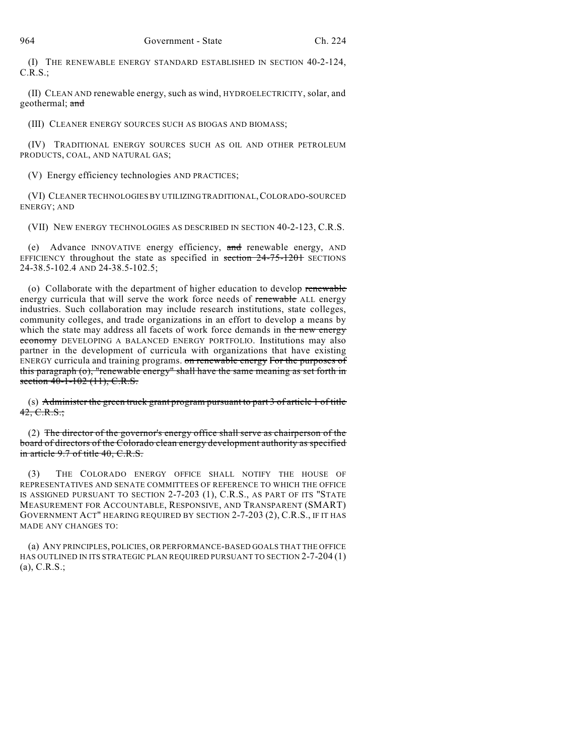(I) THE RENEWABLE ENERGY STANDARD ESTABLISHED IN SECTION 40-2-124, C.R.S.;

(II) CLEAN AND renewable energy, such as wind, HYDROELECTRICITY, solar, and geothermal; and

(III) CLEANER ENERGY SOURCES SUCH AS BIOGAS AND BIOMASS;

(IV) TRADITIONAL ENERGY SOURCES SUCH AS OIL AND OTHER PETROLEUM PRODUCTS, COAL, AND NATURAL GAS;

(V) Energy efficiency technologies AND PRACTICES;

(VI) CLEANER TECHNOLOGIES BY UTILIZING TRADITIONAL,COLORADO-SOURCED ENERGY; AND

(VII) NEW ENERGY TECHNOLOGIES AS DESCRIBED IN SECTION 40-2-123, C.R.S.

(e) Advance INNOVATIVE energy efficiency, and renewable energy, AND EFFICIENCY throughout the state as specified in section  $24-75-120$  SECTIONS 24-38.5-102.4 AND 24-38.5-102.5;

(o) Collaborate with the department of higher education to develop renewable energy curricula that will serve the work force needs of renewable ALL energy industries. Such collaboration may include research institutions, state colleges, community colleges, and trade organizations in an effort to develop a means by which the state may address all facets of work force demands in the new energy economy DEVELOPING A BALANCED ENERGY PORTFOLIO. Institutions may also partner in the development of curricula with organizations that have existing ENERGY curricula and training programs. on renewable energy For the purposes of this paragraph (o), "renewable energy" shall have the same meaning as set forth in section 40-1-102 (11), C.R.S.

(s) Administer the green truck grant program pursuant to part 3 of article 1 of title  $42, C.R.S.$ ;

(2) The director of the governor's energy office shall serve as chairperson of the board of directors of the Colorado clean energy development authority as specified in article 9.7 of title 40, C.R.S.

(3) THE COLORADO ENERGY OFFICE SHALL NOTIFY THE HOUSE OF REPRESENTATIVES AND SENATE COMMITTEES OF REFERENCE TO WHICH THE OFFICE IS ASSIGNED PURSUANT TO SECTION 2-7-203 (1), C.R.S., AS PART OF ITS "STATE MEASUREMENT FOR ACCOUNTABLE, RESPONSIVE, AND TRANSPARENT (SMART) GOVERNMENT ACT" HEARING REQUIRED BY SECTION 2-7-203 (2), C.R.S., IF IT HAS MADE ANY CHANGES TO:

(a) ANY PRINCIPLES, POLICIES, OR PERFORMANCE-BASED GOALS THAT THE OFFICE HAS OUTLINED IN ITS STRATEGIC PLAN REQUIRED PURSUANT TO SECTION 2-7-204 (1) (a), C.R.S.;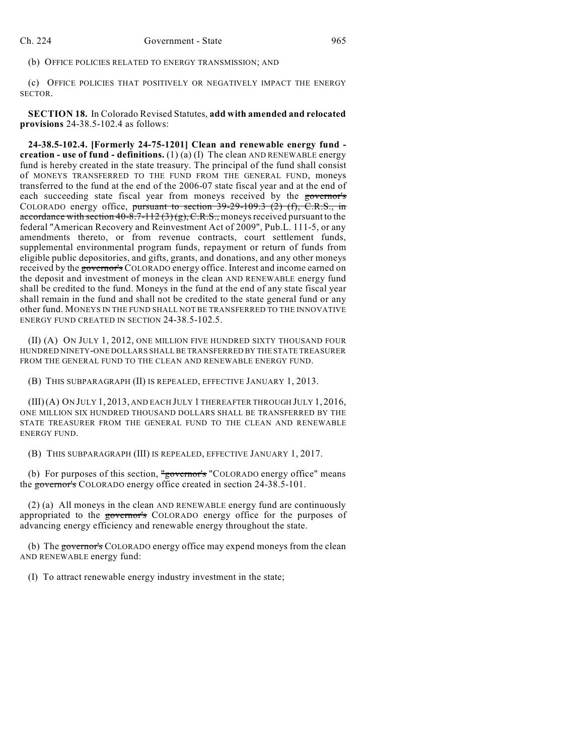(b) OFFICE POLICIES RELATED TO ENERGY TRANSMISSION; AND

(c) OFFICE POLICIES THAT POSITIVELY OR NEGATIVELY IMPACT THE ENERGY SECTOR.

**SECTION 18.** In Colorado Revised Statutes, **add with amended and relocated provisions** 24-38.5-102.4 as follows:

**24-38.5-102.4. [Formerly 24-75-1201] Clean and renewable energy fund creation - use of fund - definitions.** (1) (a) (I) The clean AND RENEWABLE energy fund is hereby created in the state treasury. The principal of the fund shall consist of MONEYS TRANSFERRED TO THE FUND FROM THE GENERAL FUND, moneys transferred to the fund at the end of the 2006-07 state fiscal year and at the end of each succeeding state fiscal year from moneys received by the governor's COLORADO energy office, pursuant to section 39-29-109.3 (2) (f), C.R.S., in accordance with section  $40-8.7-112(3)(g)$ , C.R.S., moneys received pursuant to the federal "American Recovery and Reinvestment Act of 2009", Pub.L. 111-5, or any amendments thereto, or from revenue contracts, court settlement funds, supplemental environmental program funds, repayment or return of funds from eligible public depositories, and gifts, grants, and donations, and any other moneys received by the governor's COLORADO energy office. Interest and income earned on the deposit and investment of moneys in the clean AND RENEWABLE energy fund shall be credited to the fund. Moneys in the fund at the end of any state fiscal year shall remain in the fund and shall not be credited to the state general fund or any other fund. MONEYS IN THE FUND SHALL NOT BE TRANSFERRED TO THE INNOVATIVE ENERGY FUND CREATED IN SECTION 24-38.5-102.5.

(II) (A) ON JULY 1, 2012, ONE MILLION FIVE HUNDRED SIXTY THOUSAND FOUR HUNDRED NINETY-ONE DOLLARS SHALL BE TRANSFERRED BY THE STATE TREASURER FROM THE GENERAL FUND TO THE CLEAN AND RENEWABLE ENERGY FUND.

(B) THIS SUBPARAGRAPH (II) IS REPEALED, EFFECTIVE JANUARY 1, 2013.

(III)(A) ON JULY 1, 2013, AND EACH JULY 1 THEREAFTER THROUGH JULY 1, 2016, ONE MILLION SIX HUNDRED THOUSAND DOLLARS SHALL BE TRANSFERRED BY THE STATE TREASURER FROM THE GENERAL FUND TO THE CLEAN AND RENEWABLE ENERGY FUND.

(B) THIS SUBPARAGRAPH (III) IS REPEALED, EFFECTIVE JANUARY 1, 2017.

(b) For purposes of this section,  $\frac{u}{g}$  over the "COLORADO energy office" means the governor's COLORADO energy office created in section 24-38.5-101.

(2) (a) All moneys in the clean AND RENEWABLE energy fund are continuously appropriated to the governor's COLORADO energy office for the purposes of advancing energy efficiency and renewable energy throughout the state.

(b) The governor's COLORADO energy office may expend moneys from the clean AND RENEWABLE energy fund:

(I) To attract renewable energy industry investment in the state;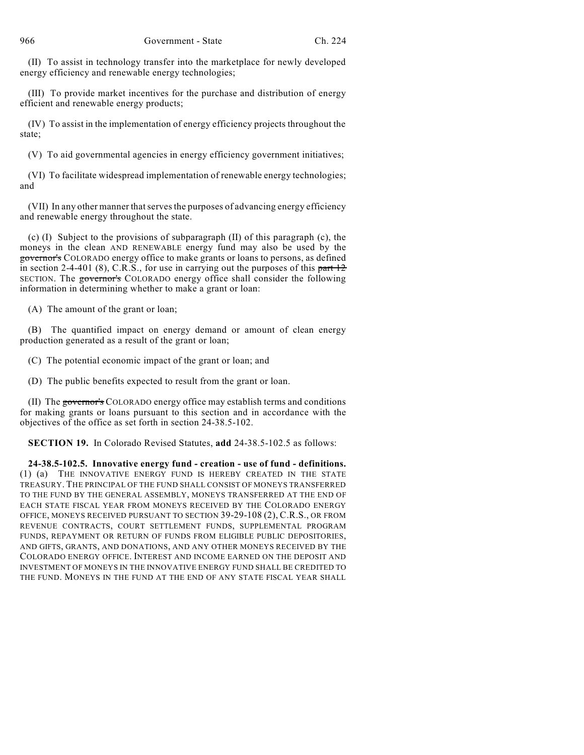(II) To assist in technology transfer into the marketplace for newly developed energy efficiency and renewable energy technologies;

(III) To provide market incentives for the purchase and distribution of energy efficient and renewable energy products;

(IV) To assist in the implementation of energy efficiency projects throughout the state;

(V) To aid governmental agencies in energy efficiency government initiatives;

(VI) To facilitate widespread implementation of renewable energy technologies; and

(VII) In any other manner that serves the purposes of advancing energy efficiency and renewable energy throughout the state.

(c) (I) Subject to the provisions of subparagraph (II) of this paragraph (c), the moneys in the clean AND RENEWABLE energy fund may also be used by the governor's COLORADO energy office to make grants or loans to persons, as defined in section 2-4-401 (8), C.R.S., for use in carrying out the purposes of this part  $12$ SECTION. The governor's COLORADO energy office shall consider the following information in determining whether to make a grant or loan:

(A) The amount of the grant or loan;

(B) The quantified impact on energy demand or amount of clean energy production generated as a result of the grant or loan;

(C) The potential economic impact of the grant or loan; and

(D) The public benefits expected to result from the grant or loan.

(II) The governor's COLORADO energy office may establish terms and conditions for making grants or loans pursuant to this section and in accordance with the objectives of the office as set forth in section 24-38.5-102.

**SECTION 19.** In Colorado Revised Statutes, **add** 24-38.5-102.5 as follows:

**24-38.5-102.5. Innovative energy fund - creation - use of fund - definitions.** (1) (a) THE INNOVATIVE ENERGY FUND IS HEREBY CREATED IN THE STATE TREASURY. THE PRINCIPAL OF THE FUND SHALL CONSIST OF MONEYS TRANSFERRED TO THE FUND BY THE GENERAL ASSEMBLY, MONEYS TRANSFERRED AT THE END OF EACH STATE FISCAL YEAR FROM MONEYS RECEIVED BY THE COLORADO ENERGY OFFICE, MONEYS RECEIVED PURSUANT TO SECTION 39-29-108 (2), C.R.S., OR FROM REVENUE CONTRACTS, COURT SETTLEMENT FUNDS, SUPPLEMENTAL PROGRAM FUNDS, REPAYMENT OR RETURN OF FUNDS FROM ELIGIBLE PUBLIC DEPOSITORIES, AND GIFTS, GRANTS, AND DONATIONS, AND ANY OTHER MONEYS RECEIVED BY THE COLORADO ENERGY OFFICE. INTEREST AND INCOME EARNED ON THE DEPOSIT AND INVESTMENT OF MONEYS IN THE INNOVATIVE ENERGY FUND SHALL BE CREDITED TO THE FUND. MONEYS IN THE FUND AT THE END OF ANY STATE FISCAL YEAR SHALL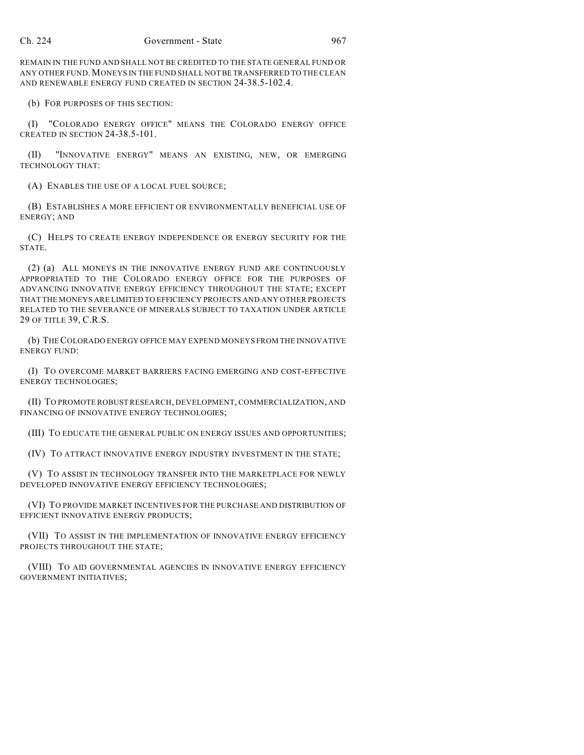REMAIN IN THE FUND AND SHALL NOT BE CREDITED TO THE STATE GENERAL FUND OR ANY OTHER FUND.MONEYS IN THE FUND SHALL NOT BE TRANSFERRED TO THE CLEAN AND RENEWABLE ENERGY FUND CREATED IN SECTION 24-38.5-102.4.

(b) FOR PURPOSES OF THIS SECTION:

(I) "COLORADO ENERGY OFFICE" MEANS THE COLORADO ENERGY OFFICE CREATED IN SECTION 24-38.5-101.

(II) "INNOVATIVE ENERGY" MEANS AN EXISTING, NEW, OR EMERGING TECHNOLOGY THAT:

(A) ENABLES THE USE OF A LOCAL FUEL SOURCE;

(B) ESTABLISHES A MORE EFFICIENT OR ENVIRONMENTALLY BENEFICIAL USE OF ENERGY; AND

(C) HELPS TO CREATE ENERGY INDEPENDENCE OR ENERGY SECURITY FOR THE STATE.

(2) (a) ALL MONEYS IN THE INNOVATIVE ENERGY FUND ARE CONTINUOUSLY APPROPRIATED TO THE COLORADO ENERGY OFFICE FOR THE PURPOSES OF ADVANCING INNOVATIVE ENERGY EFFICIENCY THROUGHOUT THE STATE; EXCEPT THAT THE MONEYS ARE LIMITED TO EFFICIENCY PROJECTS AND ANY OTHER PROJECTS RELATED TO THE SEVERANCE OF MINERALS SUBJECT TO TAXATION UNDER ARTICLE 29 OF TITLE 39, C.R.S.

(b) THECOLORADO ENERGY OFFICE MAY EXPEND MONEYS FROM THE INNOVATIVE ENERGY FUND:

(I) TO OVERCOME MARKET BARRIERS FACING EMERGING AND COST-EFFECTIVE ENERGY TECHNOLOGIES;

(II) TO PROMOTE ROBUST RESEARCH, DEVELOPMENT, COMMERCIALIZATION, AND FINANCING OF INNOVATIVE ENERGY TECHNOLOGIES;

(III) TO EDUCATE THE GENERAL PUBLIC ON ENERGY ISSUES AND OPPORTUNITIES;

(IV) TO ATTRACT INNOVATIVE ENERGY INDUSTRY INVESTMENT IN THE STATE;

(V) TO ASSIST IN TECHNOLOGY TRANSFER INTO THE MARKETPLACE FOR NEWLY DEVELOPED INNOVATIVE ENERGY EFFICIENCY TECHNOLOGIES;

(VI) TO PROVIDE MARKET INCENTIVES FOR THE PURCHASE AND DISTRIBUTION OF EFFICIENT INNOVATIVE ENERGY PRODUCTS;

(VII) TO ASSIST IN THE IMPLEMENTATION OF INNOVATIVE ENERGY EFFICIENCY PROJECTS THROUGHOUT THE STATE;

(VIII) TO AID GOVERNMENTAL AGENCIES IN INNOVATIVE ENERGY EFFICIENCY GOVERNMENT INITIATIVES;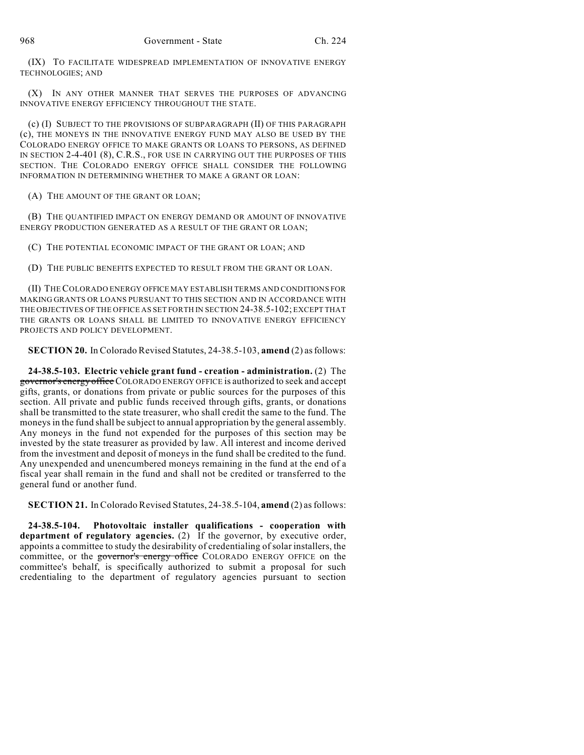(IX) TO FACILITATE WIDESPREAD IMPLEMENTATION OF INNOVATIVE ENERGY TECHNOLOGIES; AND

(X) IN ANY OTHER MANNER THAT SERVES THE PURPOSES OF ADVANCING INNOVATIVE ENERGY EFFICIENCY THROUGHOUT THE STATE.

(c) (I) SUBJECT TO THE PROVISIONS OF SUBPARAGRAPH (II) OF THIS PARAGRAPH (c), THE MONEYS IN THE INNOVATIVE ENERGY FUND MAY ALSO BE USED BY THE COLORADO ENERGY OFFICE TO MAKE GRANTS OR LOANS TO PERSONS, AS DEFINED IN SECTION 2-4-401 (8), C.R.S., FOR USE IN CARRYING OUT THE PURPOSES OF THIS SECTION. THE COLORADO ENERGY OFFICE SHALL CONSIDER THE FOLLOWING INFORMATION IN DETERMINING WHETHER TO MAKE A GRANT OR LOAN:

(A) THE AMOUNT OF THE GRANT OR LOAN;

(B) THE QUANTIFIED IMPACT ON ENERGY DEMAND OR AMOUNT OF INNOVATIVE ENERGY PRODUCTION GENERATED AS A RESULT OF THE GRANT OR LOAN;

(C) THE POTENTIAL ECONOMIC IMPACT OF THE GRANT OR LOAN; AND

(D) THE PUBLIC BENEFITS EXPECTED TO RESULT FROM THE GRANT OR LOAN.

(II) THECOLORADO ENERGY OFFICE MAY ESTABLISH TERMS AND CONDITIONS FOR MAKING GRANTS OR LOANS PURSUANT TO THIS SECTION AND IN ACCORDANCE WITH THE OBJECTIVES OF THE OFFICE AS SET FORTH IN SECTION 24-38.5-102; EXCEPT THAT THE GRANTS OR LOANS SHALL BE LIMITED TO INNOVATIVE ENERGY EFFICIENCY PROJECTS AND POLICY DEVELOPMENT.

**SECTION 20.** In Colorado Revised Statutes, 24-38.5-103, **amend** (2) as follows:

**24-38.5-103. Electric vehicle grant fund - creation - administration.** (2) The governor's energy office COLORADO ENERGY OFFICE is authorized to seek and accept gifts, grants, or donations from private or public sources for the purposes of this section. All private and public funds received through gifts, grants, or donations shall be transmitted to the state treasurer, who shall credit the same to the fund. The moneys in the fund shall be subject to annual appropriation by the general assembly. Any moneys in the fund not expended for the purposes of this section may be invested by the state treasurer as provided by law. All interest and income derived from the investment and deposit of moneys in the fund shall be credited to the fund. Any unexpended and unencumbered moneys remaining in the fund at the end of a fiscal year shall remain in the fund and shall not be credited or transferred to the general fund or another fund.

**SECTION 21.** In Colorado Revised Statutes, 24-38.5-104, **amend** (2) asfollows:

**24-38.5-104. Photovoltaic installer qualifications - cooperation with department of regulatory agencies.** (2) If the governor, by executive order, appoints a committee to study the desirability of credentialing ofsolar installers, the committee, or the governor's energy office COLORADO ENERGY OFFICE on the committee's behalf, is specifically authorized to submit a proposal for such credentialing to the department of regulatory agencies pursuant to section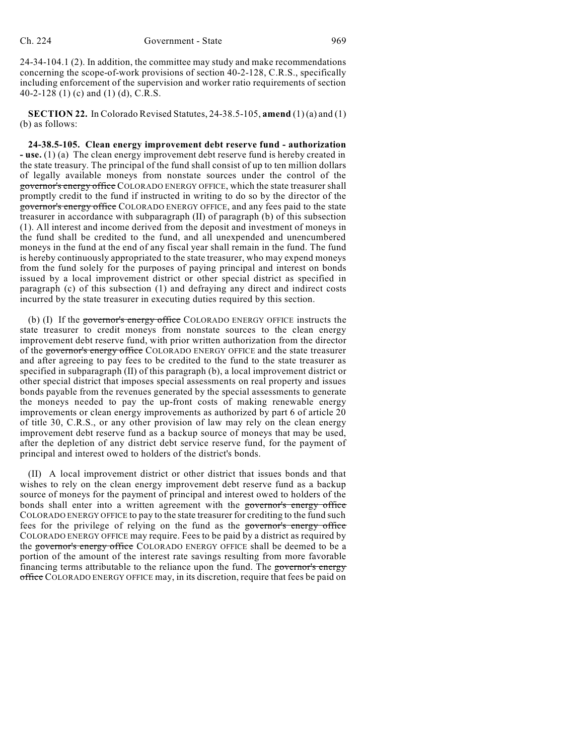24-34-104.1 (2). In addition, the committee may study and make recommendations concerning the scope-of-work provisions of section 40-2-128, C.R.S., specifically including enforcement of the supervision and worker ratio requirements of section 40-2-128 (1) (c) and (1) (d), C.R.S.

**SECTION 22.** In Colorado Revised Statutes, 24-38.5-105, **amend** (1) (a) and (1) (b) as follows:

**24-38.5-105. Clean energy improvement debt reserve fund - authorization - use.** (1) (a) The clean energy improvement debt reserve fund is hereby created in the state treasury. The principal of the fund shall consist of up to ten million dollars of legally available moneys from nonstate sources under the control of the governor's energy office COLORADO ENERGY OFFICE, which the state treasurer shall promptly credit to the fund if instructed in writing to do so by the director of the governor's energy office COLORADO ENERGY OFFICE, and any fees paid to the state treasurer in accordance with subparagraph (II) of paragraph (b) of this subsection (1). All interest and income derived from the deposit and investment of moneys in the fund shall be credited to the fund, and all unexpended and unencumbered moneys in the fund at the end of any fiscal year shall remain in the fund. The fund is hereby continuously appropriated to the state treasurer, who may expend moneys from the fund solely for the purposes of paying principal and interest on bonds issued by a local improvement district or other special district as specified in paragraph (c) of this subsection (1) and defraying any direct and indirect costs incurred by the state treasurer in executing duties required by this section.

(b) (I) If the governor's energy office COLORADO ENERGY OFFICE instructs the state treasurer to credit moneys from nonstate sources to the clean energy improvement debt reserve fund, with prior written authorization from the director of the governor's energy office COLORADO ENERGY OFFICE and the state treasurer and after agreeing to pay fees to be credited to the fund to the state treasurer as specified in subparagraph (II) of this paragraph (b), a local improvement district or other special district that imposes special assessments on real property and issues bonds payable from the revenues generated by the special assessments to generate the moneys needed to pay the up-front costs of making renewable energy improvements or clean energy improvements as authorized by part 6 of article 20 of title 30, C.R.S., or any other provision of law may rely on the clean energy improvement debt reserve fund as a backup source of moneys that may be used, after the depletion of any district debt service reserve fund, for the payment of principal and interest owed to holders of the district's bonds.

(II) A local improvement district or other district that issues bonds and that wishes to rely on the clean energy improvement debt reserve fund as a backup source of moneys for the payment of principal and interest owed to holders of the bonds shall enter into a written agreement with the governor's energy office COLORADO ENERGY OFFICE to pay to the state treasurer for crediting to the fund such fees for the privilege of relying on the fund as the governor's energy office COLORADO ENERGY OFFICE may require. Fees to be paid by a district as required by the governor's energy office COLORADO ENERGY OFFICE shall be deemed to be a portion of the amount of the interest rate savings resulting from more favorable financing terms attributable to the reliance upon the fund. The governor's energy office COLORADO ENERGY OFFICE may, in its discretion, require that fees be paid on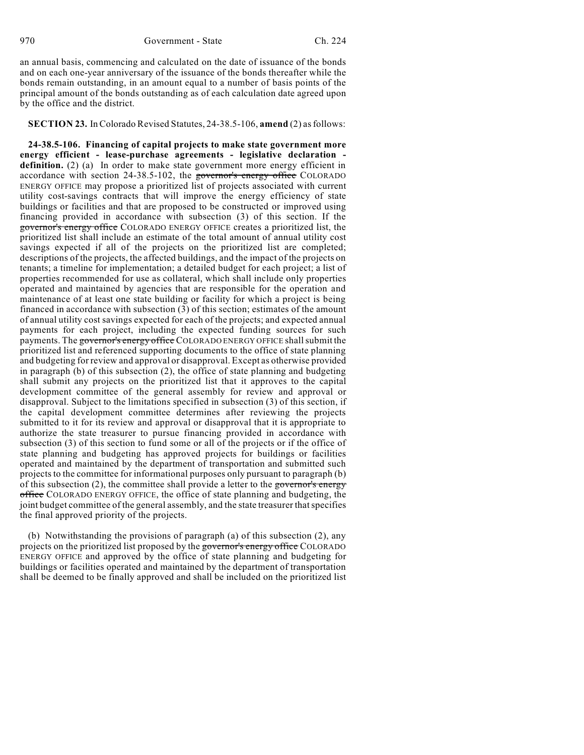an annual basis, commencing and calculated on the date of issuance of the bonds and on each one-year anniversary of the issuance of the bonds thereafter while the bonds remain outstanding, in an amount equal to a number of basis points of the principal amount of the bonds outstanding as of each calculation date agreed upon by the office and the district.

## **SECTION 23.** InColorado Revised Statutes, 24-38.5-106, **amend** (2) asfollows:

**24-38.5-106. Financing of capital projects to make state government more energy efficient - lease-purchase agreements - legislative declaration**  definition. (2) (a) In order to make state government more energy efficient in accordance with section 24-38.5-102, the governor's energy office COLORADO ENERGY OFFICE may propose a prioritized list of projects associated with current utility cost-savings contracts that will improve the energy efficiency of state buildings or facilities and that are proposed to be constructed or improved using financing provided in accordance with subsection (3) of this section. If the governor's energy office COLORADO ENERGY OFFICE creates a prioritized list, the prioritized list shall include an estimate of the total amount of annual utility cost savings expected if all of the projects on the prioritized list are completed; descriptions of the projects, the affected buildings, and the impact of the projects on tenants; a timeline for implementation; a detailed budget for each project; a list of properties recommended for use as collateral, which shall include only properties operated and maintained by agencies that are responsible for the operation and maintenance of at least one state building or facility for which a project is being financed in accordance with subsection (3) of this section; estimates of the amount of annual utility cost savings expected for each of the projects; and expected annual payments for each project, including the expected funding sources for such payments. The governor's energy office COLORADO ENERGY OFFICE shall submit the prioritized list and referenced supporting documents to the office of state planning and budgeting for review and approval or disapproval. Except as otherwise provided in paragraph (b) of this subsection (2), the office of state planning and budgeting shall submit any projects on the prioritized list that it approves to the capital development committee of the general assembly for review and approval or disapproval. Subject to the limitations specified in subsection (3) of this section, if the capital development committee determines after reviewing the projects submitted to it for its review and approval or disapproval that it is appropriate to authorize the state treasurer to pursue financing provided in accordance with subsection (3) of this section to fund some or all of the projects or if the office of state planning and budgeting has approved projects for buildings or facilities operated and maintained by the department of transportation and submitted such projects to the committee for informational purposes only pursuant to paragraph (b) of this subsection  $(2)$ , the committee shall provide a letter to the governor's energy office COLORADO ENERGY OFFICE, the office of state planning and budgeting, the joint budget committee of the general assembly, and the state treasurer thatspecifies the final approved priority of the projects.

(b) Notwithstanding the provisions of paragraph (a) of this subsection (2), any projects on the prioritized list proposed by the governor's energy office COLORADO ENERGY OFFICE and approved by the office of state planning and budgeting for buildings or facilities operated and maintained by the department of transportation shall be deemed to be finally approved and shall be included on the prioritized list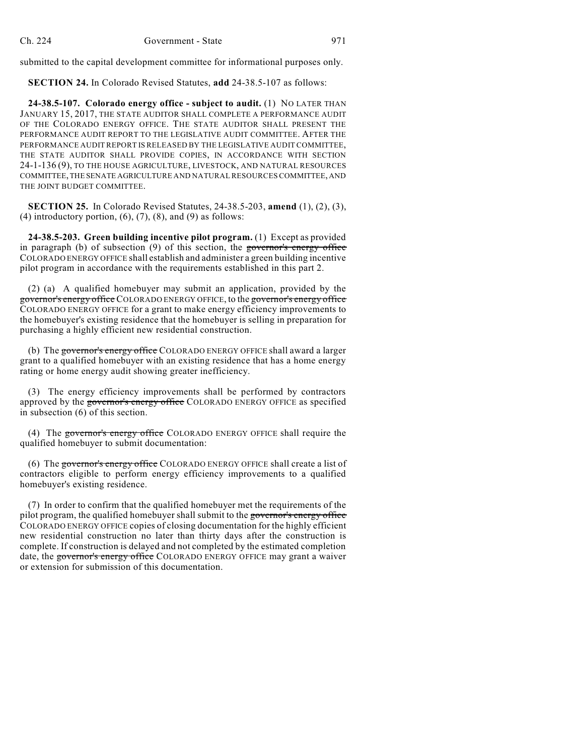submitted to the capital development committee for informational purposes only.

**SECTION 24.** In Colorado Revised Statutes, **add** 24-38.5-107 as follows:

**24-38.5-107. Colorado energy office - subject to audit.** (1) NO LATER THAN JANUARY 15, 2017, THE STATE AUDITOR SHALL COMPLETE A PERFORMANCE AUDIT OF THE COLORADO ENERGY OFFICE. THE STATE AUDITOR SHALL PRESENT THE PERFORMANCE AUDIT REPORT TO THE LEGISLATIVE AUDIT COMMITTEE. AFTER THE PERFORMANCE AUDIT REPORT IS RELEASED BY THE LEGISLATIVE AUDIT COMMITTEE, THE STATE AUDITOR SHALL PROVIDE COPIES, IN ACCORDANCE WITH SECTION 24-1-136 (9), TO THE HOUSE AGRICULTURE, LIVESTOCK, AND NATURAL RESOURCES COMMITTEE, THE SENATE AGRICULTURE AND NATURAL RESOURCES COMMITTEE, AND THE JOINT BUDGET COMMITTEE.

**SECTION 25.** In Colorado Revised Statutes, 24-38.5-203, **amend** (1), (2), (3), (4) introductory portion,  $(6)$ ,  $(7)$ ,  $(8)$ , and  $(9)$  as follows:

**24-38.5-203. Green building incentive pilot program.** (1) Except as provided in paragraph (b) of subsection (9) of this section, the governor's energy office COLORADO ENERGY OFFICE shall establish and administer a green building incentive pilot program in accordance with the requirements established in this part 2.

(2) (a) A qualified homebuyer may submit an application, provided by the governor's energy office COLORADO ENERGY OFFICE, to the governor's energy office COLORADO ENERGY OFFICE for a grant to make energy efficiency improvements to the homebuyer's existing residence that the homebuyer is selling in preparation for purchasing a highly efficient new residential construction.

(b) The governor's energy office COLORADO ENERGY OFFICE shall award a larger grant to a qualified homebuyer with an existing residence that has a home energy rating or home energy audit showing greater inefficiency.

(3) The energy efficiency improvements shall be performed by contractors approved by the governor's energy office COLORADO ENERGY OFFICE as specified in subsection (6) of this section.

(4) The governor's energy office COLORADO ENERGY OFFICE shall require the qualified homebuyer to submit documentation:

(6) The governor's energy office COLORADO ENERGY OFFICE shall create a list of contractors eligible to perform energy efficiency improvements to a qualified homebuyer's existing residence.

(7) In order to confirm that the qualified homebuyer met the requirements of the pilot program, the qualified homebuyer shall submit to the governor's energy office COLORADO ENERGY OFFICE copies of closing documentation for the highly efficient new residential construction no later than thirty days after the construction is complete. If construction is delayed and not completed by the estimated completion date, the governor's energy office COLORADO ENERGY OFFICE may grant a waiver or extension for submission of this documentation.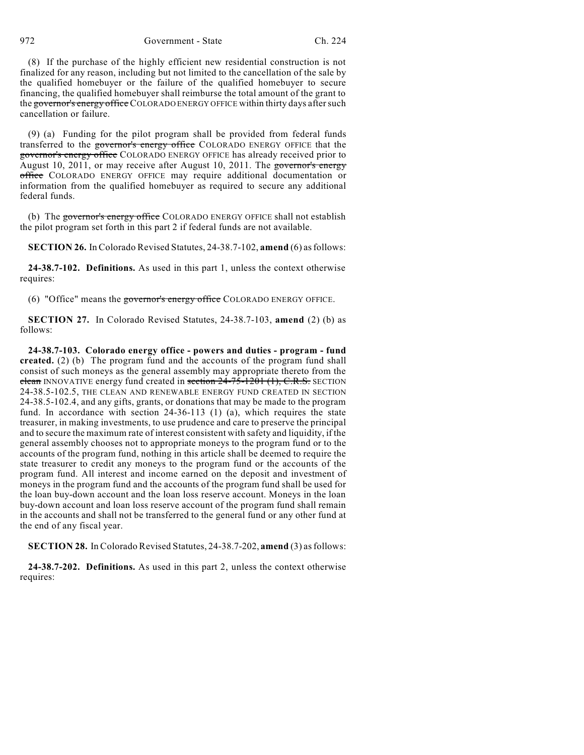972 Government - State Ch. 224

(8) If the purchase of the highly efficient new residential construction is not finalized for any reason, including but not limited to the cancellation of the sale by the qualified homebuyer or the failure of the qualified homebuyer to secure financing, the qualified homebuyer shall reimburse the total amount of the grant to the governor's energy office COLORADO ENERGY OFFICE within thirty days after such cancellation or failure.

(9) (a) Funding for the pilot program shall be provided from federal funds transferred to the governor's energy office COLORADO ENERGY OFFICE that the governor's energy office COLORADO ENERGY OFFICE has already received prior to August 10, 2011, or may receive after August 10, 2011. The governor's energy office COLORADO ENERGY OFFICE may require additional documentation or information from the qualified homebuyer as required to secure any additional federal funds.

(b) The governor's energy office COLORADO ENERGY OFFICE shall not establish the pilot program set forth in this part 2 if federal funds are not available.

**SECTION 26.** In Colorado Revised Statutes, 24-38.7-102, **amend** (6) asfollows:

**24-38.7-102. Definitions.** As used in this part 1, unless the context otherwise requires:

(6) "Office" means the governor's energy office COLORADO ENERGY OFFICE.

**SECTION 27.** In Colorado Revised Statutes, 24-38.7-103, **amend** (2) (b) as follows:

**24-38.7-103. Colorado energy office - powers and duties - program - fund created.** (2) (b) The program fund and the accounts of the program fund shall consist of such moneys as the general assembly may appropriate thereto from the clean INNOVATIVE energy fund created in section  $24-75-1201$  (1), C.R.S. SECTION 24-38.5-102.5, THE CLEAN AND RENEWABLE ENERGY FUND CREATED IN SECTION 24-38.5-102.4, and any gifts, grants, or donations that may be made to the program fund. In accordance with section 24-36-113 (1) (a), which requires the state treasurer, in making investments, to use prudence and care to preserve the principal and to secure the maximum rate of interest consistent with safety and liquidity, if the general assembly chooses not to appropriate moneys to the program fund or to the accounts of the program fund, nothing in this article shall be deemed to require the state treasurer to credit any moneys to the program fund or the accounts of the program fund. All interest and income earned on the deposit and investment of moneys in the program fund and the accounts of the program fund shall be used for the loan buy-down account and the loan loss reserve account. Moneys in the loan buy-down account and loan loss reserve account of the program fund shall remain in the accounts and shall not be transferred to the general fund or any other fund at the end of any fiscal year.

**SECTION 28.** In Colorado Revised Statutes, 24-38.7-202, **amend** (3) asfollows:

**24-38.7-202. Definitions.** As used in this part 2, unless the context otherwise requires: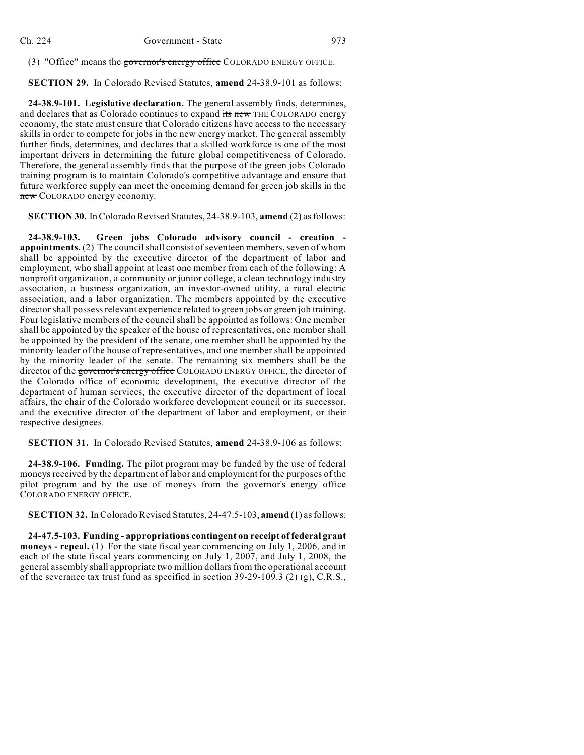(3) "Office" means the governor's energy office COLORADO ENERGY OFFICE.

**SECTION 29.** In Colorado Revised Statutes, **amend** 24-38.9-101 as follows:

**24-38.9-101. Legislative declaration.** The general assembly finds, determines, and declares that as Colorado continues to expand its new THE COLORADO energy economy, the state must ensure that Colorado citizens have access to the necessary skills in order to compete for jobs in the new energy market. The general assembly further finds, determines, and declares that a skilled workforce is one of the most important drivers in determining the future global competitiveness of Colorado. Therefore, the general assembly finds that the purpose of the green jobs Colorado training program is to maintain Colorado's competitive advantage and ensure that future workforce supply can meet the oncoming demand for green job skills in the new COLORADO energy economy.

**SECTION 30.** InColorado Revised Statutes, 24-38.9-103, **amend** (2) asfollows:

**24-38.9-103. Green jobs Colorado advisory council - creation appointments.** (2) The council shall consist of seventeen members, seven of whom shall be appointed by the executive director of the department of labor and employment, who shall appoint at least one member from each of the following: A nonprofit organization, a community or junior college, a clean technology industry association, a business organization, an investor-owned utility, a rural electric association, and a labor organization. The members appointed by the executive directorshall possessrelevant experience related to green jobs or green job training. Four legislative members of the council shall be appointed as follows: One member shall be appointed by the speaker of the house of representatives, one member shall be appointed by the president of the senate, one member shall be appointed by the minority leader of the house of representatives, and one member shall be appointed by the minority leader of the senate. The remaining six members shall be the director of the governor's energy office COLORADO ENERGY OFFICE, the director of the Colorado office of economic development, the executive director of the department of human services, the executive director of the department of local affairs, the chair of the Colorado workforce development council or its successor, and the executive director of the department of labor and employment, or their respective designees.

**SECTION 31.** In Colorado Revised Statutes, **amend** 24-38.9-106 as follows:

**24-38.9-106. Funding.** The pilot program may be funded by the use of federal moneys received by the department of labor and employment for the purposes of the pilot program and by the use of moneys from the governor's energy office COLORADO ENERGY OFFICE.

**SECTION 32.** In Colorado Revised Statutes, 24-47.5-103, **amend** (1) asfollows:

**24-47.5-103. Funding - appropriations contingent on receipt of federal grant moneys - repeal.** (1) For the state fiscal year commencing on July 1, 2006, and in each of the state fiscal years commencing on July 1, 2007, and July 1, 2008, the general assembly shall appropriate two million dollarsfrom the operational account of the severance tax trust fund as specified in section 39-29-109.3 (2) (g), C.R.S.,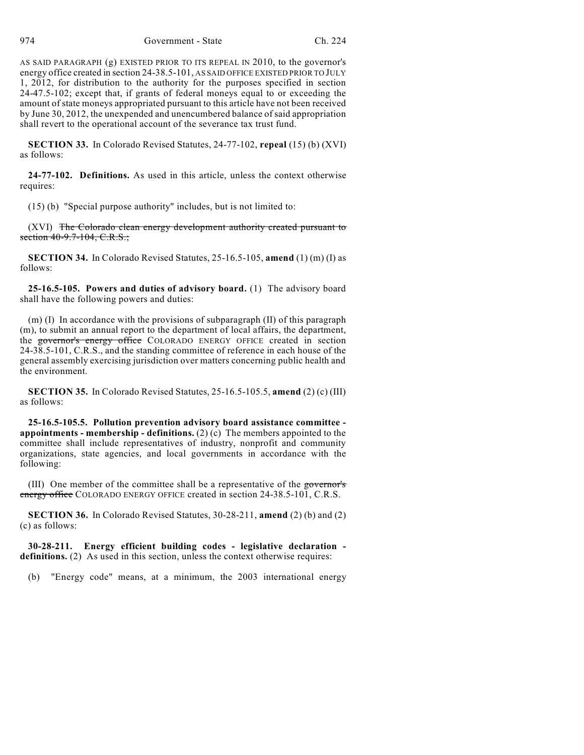AS SAID PARAGRAPH (g) EXISTED PRIOR TO ITS REPEAL IN 2010, to the governor's energy office created in section 24-38.5-101, AS SAID OFFICE EXISTED PRIOR TO JULY 1, 2012, for distribution to the authority for the purposes specified in section 24-47.5-102; except that, if grants of federal moneys equal to or exceeding the amount of state moneys appropriated pursuant to this article have not been received by June 30, 2012, the unexpended and unencumbered balance of said appropriation shall revert to the operational account of the severance tax trust fund.

**SECTION 33.** In Colorado Revised Statutes, 24-77-102, **repeal** (15) (b) (XVI) as follows:

**24-77-102. Definitions.** As used in this article, unless the context otherwise requires:

(15) (b) "Special purpose authority" includes, but is not limited to:

(XVI) The Colorado clean energy development authority created pursuant to section 40-9.7-104, C.R.S.;

**SECTION 34.** In Colorado Revised Statutes, 25-16.5-105, **amend** (1) (m) (I) as follows:

**25-16.5-105. Powers and duties of advisory board.** (1) The advisory board shall have the following powers and duties:

 $(m)$  (I) In accordance with the provisions of subparagraph (II) of this paragraph (m), to submit an annual report to the department of local affairs, the department, the governor's energy office COLORADO ENERGY OFFICE created in section 24-38.5-101, C.R.S., and the standing committee of reference in each house of the general assembly exercising jurisdiction over matters concerning public health and the environment.

**SECTION 35.** In Colorado Revised Statutes, 25-16.5-105.5, **amend** (2) (c) (III) as follows:

**25-16.5-105.5. Pollution prevention advisory board assistance committee appointments - membership - definitions.** (2) (c) The members appointed to the committee shall include representatives of industry, nonprofit and community organizations, state agencies, and local governments in accordance with the following:

(III) One member of the committee shall be a representative of the governor's energy office COLORADO ENERGY OFFICE created in section 24-38.5-101, C.R.S.

**SECTION 36.** In Colorado Revised Statutes, 30-28-211, **amend** (2) (b) and (2) (c) as follows:

**30-28-211. Energy efficient building codes - legislative declaration**  definitions. (2) As used in this section, unless the context otherwise requires:

(b) "Energy code" means, at a minimum, the 2003 international energy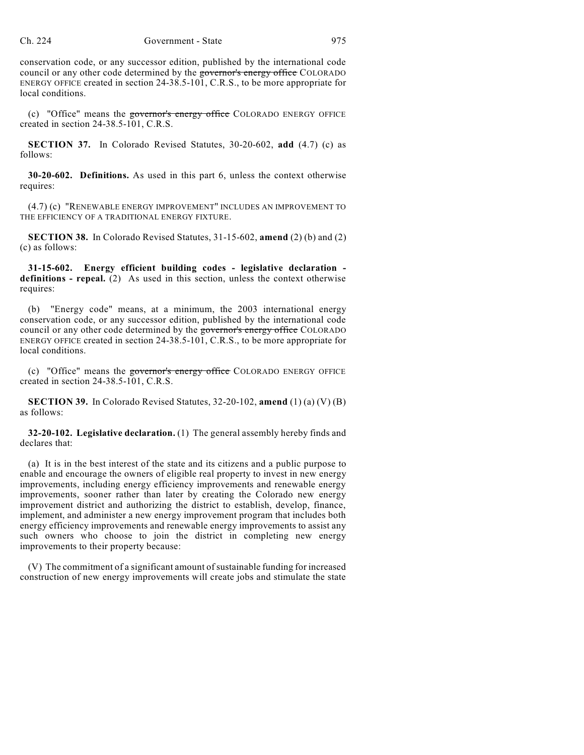conservation code, or any successor edition, published by the international code council or any other code determined by the governor's energy office COLORADO ENERGY OFFICE created in section 24-38.5-101, C.R.S., to be more appropriate for local conditions.

(c) "Office" means the governor's energy office COLORADO ENERGY OFFICE created in section 24-38.5-101, C.R.S.

**SECTION 37.** In Colorado Revised Statutes, 30-20-602, **add** (4.7) (c) as follows:

**30-20-602. Definitions.** As used in this part 6, unless the context otherwise requires:

(4.7) (c) "RENEWABLE ENERGY IMPROVEMENT" INCLUDES AN IMPROVEMENT TO THE EFFICIENCY OF A TRADITIONAL ENERGY FIXTURE.

**SECTION 38.** In Colorado Revised Statutes, 31-15-602, **amend** (2) (b) and (2) (c) as follows:

**31-15-602. Energy efficient building codes - legislative declaration definitions - repeal.** (2) As used in this section, unless the context otherwise requires:

(b) "Energy code" means, at a minimum, the 2003 international energy conservation code, or any successor edition, published by the international code council or any other code determined by the governor's energy office COLORADO ENERGY OFFICE created in section 24-38.5-101, C.R.S., to be more appropriate for local conditions.

(c) "Office" means the governor's energy office COLORADO ENERGY OFFICE created in section 24-38.5-101, C.R.S.

**SECTION 39.** In Colorado Revised Statutes, 32-20-102, **amend** (1) (a) (V) (B) as follows:

**32-20-102. Legislative declaration.** (1) The general assembly hereby finds and declares that:

(a) It is in the best interest of the state and its citizens and a public purpose to enable and encourage the owners of eligible real property to invest in new energy improvements, including energy efficiency improvements and renewable energy improvements, sooner rather than later by creating the Colorado new energy improvement district and authorizing the district to establish, develop, finance, implement, and administer a new energy improvement program that includes both energy efficiency improvements and renewable energy improvements to assist any such owners who choose to join the district in completing new energy improvements to their property because:

(V) The commitment of a significant amount of sustainable funding for increased construction of new energy improvements will create jobs and stimulate the state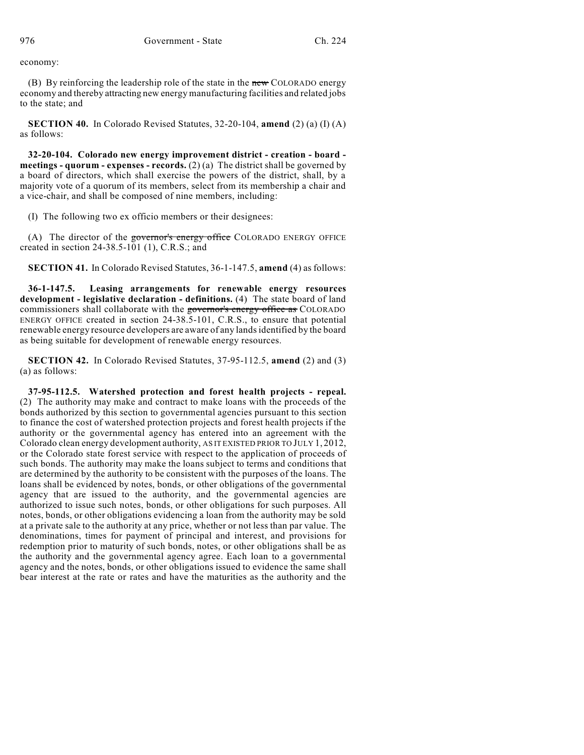economy:

(B) By reinforcing the leadership role of the state in the new COLORADO energy economy and thereby attracting new energy manufacturing facilities and related jobs to the state; and

**SECTION 40.** In Colorado Revised Statutes, 32-20-104, **amend** (2) (a) (I) (A) as follows:

**32-20-104. Colorado new energy improvement district - creation - board meetings - quorum - expenses - records.** (2) (a) The district shall be governed by a board of directors, which shall exercise the powers of the district, shall, by a majority vote of a quorum of its members, select from its membership a chair and a vice-chair, and shall be composed of nine members, including:

(I) The following two ex officio members or their designees:

(A) The director of the governor's energy office COLORADO ENERGY OFFICE created in section 24-38.5-101 (1), C.R.S.; and

**SECTION 41.** In Colorado Revised Statutes, 36-1-147.5, **amend** (4) as follows:

**36-1-147.5. Leasing arrangements for renewable energy resources development - legislative declaration - definitions.** (4) The state board of land commissioners shall collaborate with the governor's energy office as COLORADO ENERGY OFFICE created in section 24-38.5-101, C.R.S., to ensure that potential renewable energy resource developers are aware of any landsidentified by the board as being suitable for development of renewable energy resources.

**SECTION 42.** In Colorado Revised Statutes, 37-95-112.5, **amend** (2) and (3) (a) as follows:

**37-95-112.5. Watershed protection and forest health projects - repeal.** (2) The authority may make and contract to make loans with the proceeds of the bonds authorized by this section to governmental agencies pursuant to this section to finance the cost of watershed protection projects and forest health projects if the authority or the governmental agency has entered into an agreement with the Colorado clean energy development authority, AS IT EXISTED PRIOR TO JULY 1, 2012, or the Colorado state forest service with respect to the application of proceeds of such bonds. The authority may make the loans subject to terms and conditions that are determined by the authority to be consistent with the purposes of the loans. The loans shall be evidenced by notes, bonds, or other obligations of the governmental agency that are issued to the authority, and the governmental agencies are authorized to issue such notes, bonds, or other obligations for such purposes. All notes, bonds, or other obligations evidencing a loan from the authority may be sold at a private sale to the authority at any price, whether or not less than par value. The denominations, times for payment of principal and interest, and provisions for redemption prior to maturity of such bonds, notes, or other obligations shall be as the authority and the governmental agency agree. Each loan to a governmental agency and the notes, bonds, or other obligations issued to evidence the same shall bear interest at the rate or rates and have the maturities as the authority and the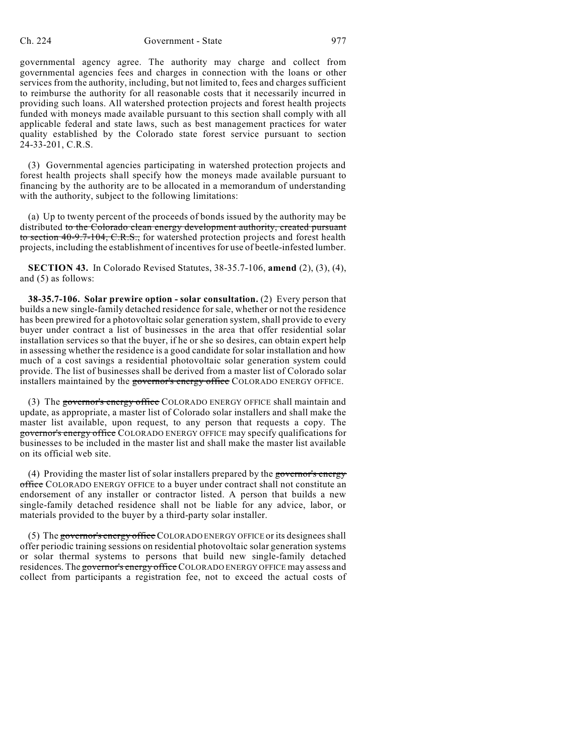governmental agency agree. The authority may charge and collect from governmental agencies fees and charges in connection with the loans or other services from the authority, including, but not limited to, fees and charges sufficient to reimburse the authority for all reasonable costs that it necessarily incurred in providing such loans. All watershed protection projects and forest health projects funded with moneys made available pursuant to this section shall comply with all applicable federal and state laws, such as best management practices for water quality established by the Colorado state forest service pursuant to section 24-33-201, C.R.S.

(3) Governmental agencies participating in watershed protection projects and forest health projects shall specify how the moneys made available pursuant to financing by the authority are to be allocated in a memorandum of understanding with the authority, subject to the following limitations:

(a) Up to twenty percent of the proceeds of bonds issued by the authority may be distributed to the Colorado clean energy development authority, created pursuant to section 40-9.7-104, C.R.S., for watershed protection projects and forest health projects, including the establishment of incentives for use of beetle-infested lumber.

**SECTION 43.** In Colorado Revised Statutes, 38-35.7-106, **amend** (2), (3), (4), and (5) as follows:

**38-35.7-106. Solar prewire option - solar consultation.** (2) Every person that builds a new single-family detached residence for sale, whether or not the residence has been prewired for a photovoltaic solar generation system, shall provide to every buyer under contract a list of businesses in the area that offer residential solar installation services so that the buyer, if he or she so desires, can obtain expert help in assessing whether the residence is a good candidate for solar installation and how much of a cost savings a residential photovoltaic solar generation system could provide. The list of businesses shall be derived from a master list of Colorado solar installers maintained by the governor's energy office COLORADO ENERGY OFFICE.

(3) The governor's energy office COLORADO ENERGY OFFICE shall maintain and update, as appropriate, a master list of Colorado solar installers and shall make the master list available, upon request, to any person that requests a copy. The governor's energy office COLORADO ENERGY OFFICE may specify qualifications for businesses to be included in the master list and shall make the master list available on its official web site.

(4) Providing the master list of solar installers prepared by the governor's energy office COLORADO ENERGY OFFICE to a buyer under contract shall not constitute an endorsement of any installer or contractor listed. A person that builds a new single-family detached residence shall not be liable for any advice, labor, or materials provided to the buyer by a third-party solar installer.

(5) The governor's energy office COLORADO ENERGY OFFICE or its designees shall offer periodic training sessions on residential photovoltaic solar generation systems or solar thermal systems to persons that build new single-family detached residences. The governor's energy office COLORADO ENERGY OFFICE may assess and collect from participants a registration fee, not to exceed the actual costs of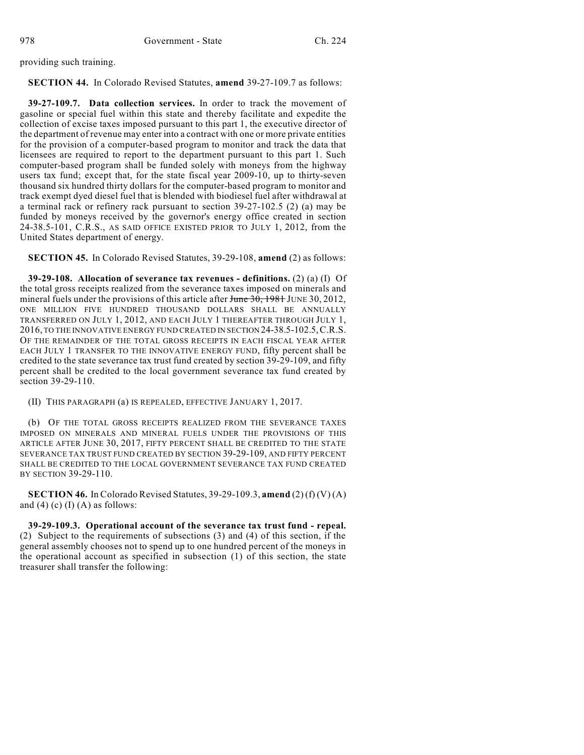providing such training.

**SECTION 44.** In Colorado Revised Statutes, **amend** 39-27-109.7 as follows:

**39-27-109.7. Data collection services.** In order to track the movement of gasoline or special fuel within this state and thereby facilitate and expedite the collection of excise taxes imposed pursuant to this part 1, the executive director of the department of revenue may enter into a contract with one or more private entities for the provision of a computer-based program to monitor and track the data that licensees are required to report to the department pursuant to this part 1. Such computer-based program shall be funded solely with moneys from the highway users tax fund; except that, for the state fiscal year 2009-10, up to thirty-seven thousand six hundred thirty dollars for the computer-based program to monitor and track exempt dyed diesel fuel that is blended with biodiesel fuel after withdrawal at a terminal rack or refinery rack pursuant to section 39-27-102.5 (2) (a) may be funded by moneys received by the governor's energy office created in section 24-38.5-101, C.R.S., AS SAID OFFICE EXISTED PRIOR TO JULY 1, 2012, from the United States department of energy.

**SECTION 45.** In Colorado Revised Statutes, 39-29-108, **amend** (2) as follows:

**39-29-108. Allocation of severance tax revenues - definitions.** (2) (a) (I) Of the total gross receipts realized from the severance taxes imposed on minerals and mineral fuels under the provisions of this article after June 30, 1981 JUNE 30, 2012, ONE MILLION FIVE HUNDRED THOUSAND DOLLARS SHALL BE ANNUALLY TRANSFERRED ON JULY 1, 2012, AND EACH JULY 1 THEREAFTER THROUGH JULY 1, 2016, TO THE INNOVATIVE ENERGY FUND CREATED IN SECTION 24-38.5-102.5,C.R.S. OF THE REMAINDER OF THE TOTAL GROSS RECEIPTS IN EACH FISCAL YEAR AFTER EACH JULY 1 TRANSFER TO THE INNOVATIVE ENERGY FUND, fifty percent shall be credited to the state severance tax trust fund created by section 39-29-109, and fifty percent shall be credited to the local government severance tax fund created by section 39-29-110.

(II) THIS PARAGRAPH (a) IS REPEALED, EFFECTIVE JANUARY 1, 2017.

(b) OF THE TOTAL GROSS RECEIPTS REALIZED FROM THE SEVERANCE TAXES IMPOSED ON MINERALS AND MINERAL FUELS UNDER THE PROVISIONS OF THIS ARTICLE AFTER JUNE 30, 2017, FIFTY PERCENT SHALL BE CREDITED TO THE STATE SEVERANCE TAX TRUST FUND CREATED BY SECTION 39-29-109, AND FIFTY PERCENT SHALL BE CREDITED TO THE LOCAL GOVERNMENT SEVERANCE TAX FUND CREATED BY SECTION 39-29-110.

**SECTION 46.** In Colorado Revised Statutes, 39-29-109.3, **amend** (2) (f) (V) (A) and  $(4)$  (c)  $(1)$   $(A)$  as follows:

**39-29-109.3. Operational account of the severance tax trust fund - repeal.** (2) Subject to the requirements of subsections (3) and (4) of this section, if the general assembly chooses not to spend up to one hundred percent of the moneys in the operational account as specified in subsection (1) of this section, the state treasurer shall transfer the following: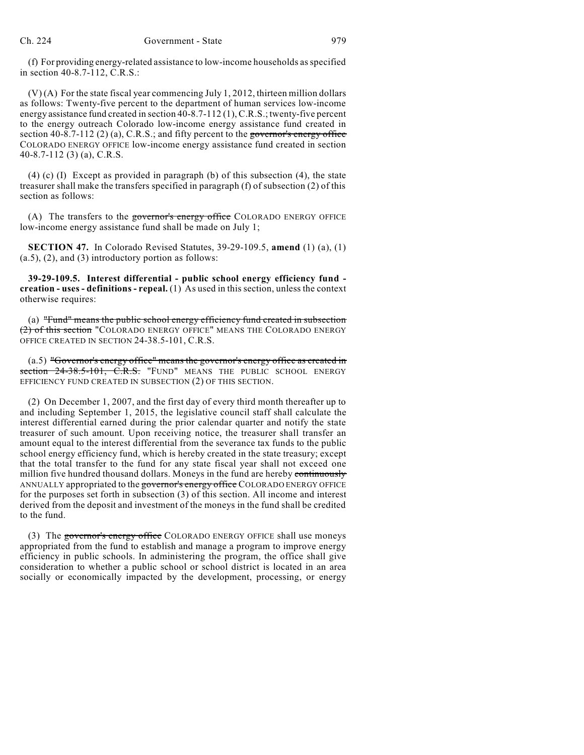(f) For providing energy-related assistance to low-income households asspecified in section 40-8.7-112, C.R.S.:

(V) (A) For the state fiscal year commencing July 1, 2012, thirteen million dollars as follows: Twenty-five percent to the department of human services low-income energy assistance fund created in section 40-8.7-112 (1), C.R.S.; twenty-five percent to the energy outreach Colorado low-income energy assistance fund created in section 40-8.7-112 (2) (a), C.R.S.; and fifty percent to the governor's energy office COLORADO ENERGY OFFICE low-income energy assistance fund created in section 40-8.7-112 (3) (a), C.R.S.

(4) (c) (I) Except as provided in paragraph (b) of this subsection (4), the state treasurer shall make the transfers specified in paragraph (f) of subsection (2) of this section as follows:

(A) The transfers to the governor's energy office COLORADO ENERGY OFFICE low-income energy assistance fund shall be made on July 1;

**SECTION 47.** In Colorado Revised Statutes, 39-29-109.5, **amend** (1) (a), (1) (a.5), (2), and (3) introductory portion as follows:

**39-29-109.5. Interest differential - public school energy efficiency fund creation - uses - definitions - repeal.** (1) As used in this section, unless the context otherwise requires:

(a) "Fund" means the public school energy efficiency fund created in subsection (2) of this section "COLORADO ENERGY OFFICE" MEANS THE COLORADO ENERGY OFFICE CREATED IN SECTION 24-38.5-101, C.R.S.

(a.5) "Governor's energy office" means the governor's energy office as created in section 24-38.5-101, C.R.S. "FUND" MEANS THE PUBLIC SCHOOL ENERGY EFFICIENCY FUND CREATED IN SUBSECTION (2) OF THIS SECTION.

(2) On December 1, 2007, and the first day of every third month thereafter up to and including September 1, 2015, the legislative council staff shall calculate the interest differential earned during the prior calendar quarter and notify the state treasurer of such amount. Upon receiving notice, the treasurer shall transfer an amount equal to the interest differential from the severance tax funds to the public school energy efficiency fund, which is hereby created in the state treasury; except that the total transfer to the fund for any state fiscal year shall not exceed one million five hundred thousand dollars. Moneys in the fund are hereby continuously ANNUALLY appropriated to the governor's energy office COLORADO ENERGY OFFICE for the purposes set forth in subsection (3) of this section. All income and interest derived from the deposit and investment of the moneys in the fund shall be credited to the fund.

(3) The governor's energy office COLORADO ENERGY OFFICE shall use moneys appropriated from the fund to establish and manage a program to improve energy efficiency in public schools. In administering the program, the office shall give consideration to whether a public school or school district is located in an area socially or economically impacted by the development, processing, or energy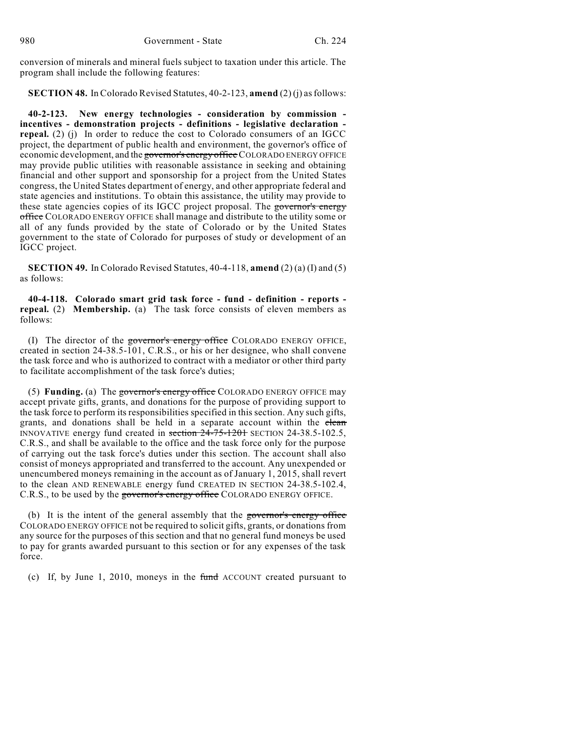conversion of minerals and mineral fuels subject to taxation under this article. The program shall include the following features:

**SECTION 48.** In Colorado Revised Statutes, 40-2-123, **amend** (2) (j) asfollows:

**40-2-123. New energy technologies - consideration by commission incentives - demonstration projects - definitions - legislative declaration repeal.** (2) (j) In order to reduce the cost to Colorado consumers of an IGCC project, the department of public health and environment, the governor's office of economic development, and the governor's energy office COLORADO ENERGY OFFICE may provide public utilities with reasonable assistance in seeking and obtaining financial and other support and sponsorship for a project from the United States congress, the United States department of energy, and other appropriate federal and state agencies and institutions. To obtain this assistance, the utility may provide to these state agencies copies of its IGCC project proposal. The governor's energy office COLORADO ENERGY OFFICE shall manage and distribute to the utility some or all of any funds provided by the state of Colorado or by the United States government to the state of Colorado for purposes of study or development of an IGCC project.

**SECTION 49.** In Colorado Revised Statutes, 40-4-118, **amend** (2) (a) (I) and (5) as follows:

**40-4-118. Colorado smart grid task force - fund - definition - reports repeal.** (2) **Membership.** (a) The task force consists of eleven members as follows:

(I) The director of the governor's energy office COLORADO ENERGY OFFICE, created in section 24-38.5-101, C.R.S., or his or her designee, who shall convene the task force and who is authorized to contract with a mediator or other third party to facilitate accomplishment of the task force's duties;

(5) **Funding.** (a) The governor's energy office COLORADO ENERGY OFFICE may accept private gifts, grants, and donations for the purpose of providing support to the task force to perform its responsibilities specified in this section. Any such gifts, grants, and donations shall be held in a separate account within the clean INNOVATIVE energy fund created in section 24-75-1201 SECTION 24-38.5-102.5, C.R.S., and shall be available to the office and the task force only for the purpose of carrying out the task force's duties under this section. The account shall also consist of moneys appropriated and transferred to the account. Any unexpended or unencumbered moneys remaining in the account as of January 1, 2015, shall revert to the clean AND RENEWABLE energy fund CREATED IN SECTION 24-38.5-102.4, C.R.S., to be used by the governor's energy office COLORADO ENERGY OFFICE.

(b) It is the intent of the general assembly that the governor's energy office COLORADO ENERGY OFFICE not be required to solicit gifts, grants, or donations from any source for the purposes of this section and that no general fund moneys be used to pay for grants awarded pursuant to this section or for any expenses of the task force.

(c) If, by June 1, 2010, moneys in the fund ACCOUNT created pursuant to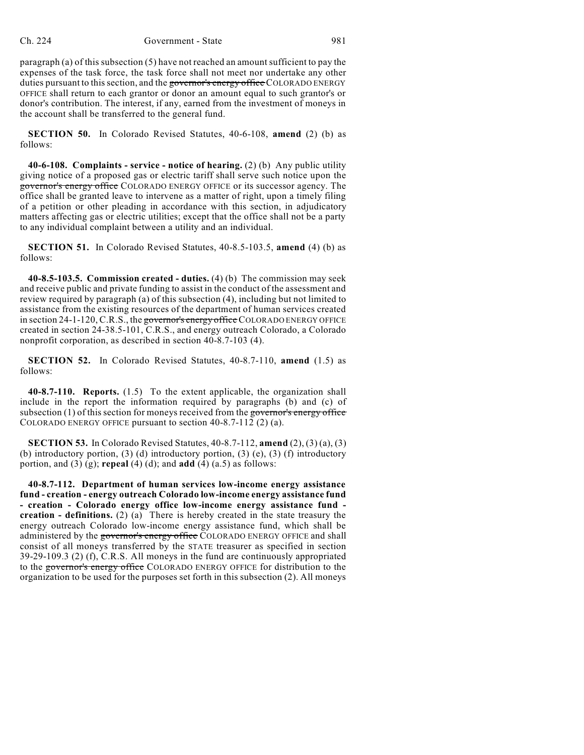paragraph (a) of this subsection  $(5)$  have not reached an amount sufficient to pay the expenses of the task force, the task force shall not meet nor undertake any other duties pursuant to this section, and the governor's energy office COLORADO ENERGY OFFICE shall return to each grantor or donor an amount equal to such grantor's or donor's contribution. The interest, if any, earned from the investment of moneys in the account shall be transferred to the general fund.

**SECTION 50.** In Colorado Revised Statutes, 40-6-108, **amend** (2) (b) as follows:

**40-6-108. Complaints - service - notice of hearing.** (2) (b) Any public utility giving notice of a proposed gas or electric tariff shall serve such notice upon the governor's energy office COLORADO ENERGY OFFICE or its successor agency. The office shall be granted leave to intervene as a matter of right, upon a timely filing of a petition or other pleading in accordance with this section, in adjudicatory matters affecting gas or electric utilities; except that the office shall not be a party to any individual complaint between a utility and an individual.

**SECTION 51.** In Colorado Revised Statutes, 40-8.5-103.5, **amend** (4) (b) as follows:

**40-8.5-103.5. Commission created - duties.** (4) (b) The commission may seek and receive public and private funding to assist in the conduct of the assessment and review required by paragraph (a) of this subsection (4), including but not limited to assistance from the existing resources of the department of human services created in section 24-1-120, C.R.S., the governor's energy office COLORADO ENERGY OFFICE created in section 24-38.5-101, C.R.S., and energy outreach Colorado, a Colorado nonprofit corporation, as described in section 40-8.7-103 (4).

**SECTION 52.** In Colorado Revised Statutes, 40-8.7-110, **amend** (1.5) as follows:

**40-8.7-110. Reports.** (1.5) To the extent applicable, the organization shall include in the report the information required by paragraphs (b) and (c) of subsection  $(1)$  of this section for moneys received from the governor's energy office COLORADO ENERGY OFFICE pursuant to section 40-8.7-112 (2) (a).

**SECTION 53.** In Colorado Revised Statutes, 40-8.7-112, **amend** (2), (3) (a), (3) (b) introductory portion, (3) (d) introductory portion, (3) (e), (3) (f) introductory portion, and (3) (g); **repeal** (4) (d); and **add** (4) (a.5) as follows:

**40-8.7-112. Department of human services low-income energy assistance fund - creation - energy outreach Colorado low-income energy assistance fund - creation - Colorado energy office low-income energy assistance fund creation - definitions.** (2) (a) There is hereby created in the state treasury the energy outreach Colorado low-income energy assistance fund, which shall be administered by the governor's energy office COLORADO ENERGY OFFICE and shall consist of all moneys transferred by the STATE treasurer as specified in section 39-29-109.3 (2) (f), C.R.S. All moneys in the fund are continuously appropriated to the governor's energy office COLORADO ENERGY OFFICE for distribution to the organization to be used for the purposes set forth in this subsection (2). All moneys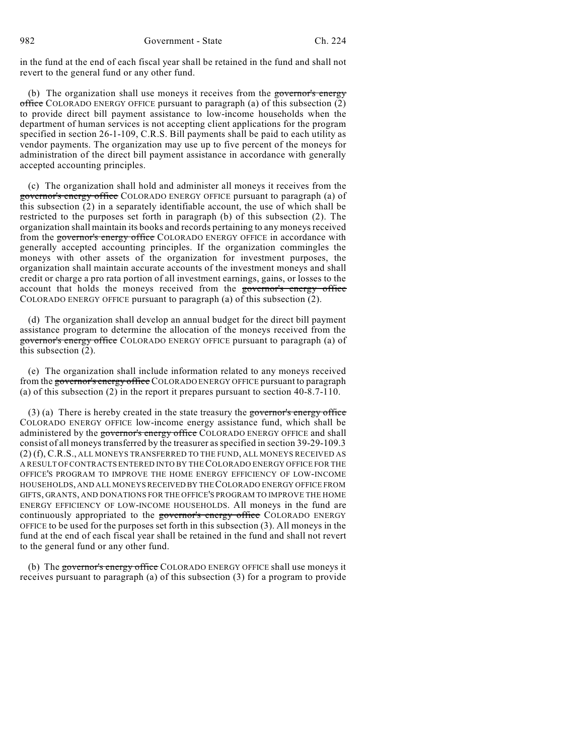in the fund at the end of each fiscal year shall be retained in the fund and shall not revert to the general fund or any other fund.

(b) The organization shall use moneys it receives from the governor's energy office COLORADO ENERGY OFFICE pursuant to paragraph (a) of this subsection  $(2)$ to provide direct bill payment assistance to low-income households when the department of human services is not accepting client applications for the program specified in section 26-1-109, C.R.S. Bill payments shall be paid to each utility as vendor payments. The organization may use up to five percent of the moneys for administration of the direct bill payment assistance in accordance with generally accepted accounting principles.

(c) The organization shall hold and administer all moneys it receives from the governor's energy office COLORADO ENERGY OFFICE pursuant to paragraph (a) of this subsection (2) in a separately identifiable account, the use of which shall be restricted to the purposes set forth in paragraph (b) of this subsection (2). The organization shall maintain its books and records pertaining to any moneys received from the governor's energy office COLORADO ENERGY OFFICE in accordance with generally accepted accounting principles. If the organization commingles the moneys with other assets of the organization for investment purposes, the organization shall maintain accurate accounts of the investment moneys and shall credit or charge a pro rata portion of all investment earnings, gains, or losses to the account that holds the moneys received from the governor's energy office COLORADO ENERGY OFFICE pursuant to paragraph (a) of this subsection (2).

(d) The organization shall develop an annual budget for the direct bill payment assistance program to determine the allocation of the moneys received from the governor's energy office COLORADO ENERGY OFFICE pursuant to paragraph (a) of this subsection (2).

(e) The organization shall include information related to any moneys received from the governor's energy office COLORADO ENERGY OFFICE pursuant to paragraph (a) of this subsection (2) in the report it prepares pursuant to section 40-8.7-110.

(3) (a) There is hereby created in the state treasury the governor's energy office COLORADO ENERGY OFFICE low-income energy assistance fund, which shall be administered by the governor's energy office COLORADO ENERGY OFFICE and shall consist of all moneys transferred by the treasurer asspecified in section 39-29-109.3 (2) (f), C.R.S., ALL MONEYS TRANSFERRED TO THE FUND, ALL MONEYS RECEIVED AS A RESULT OF CONTRACTS ENTERED INTO BY THECOLORADO ENERGY OFFICE FOR THE OFFICE'S PROGRAM TO IMPROVE THE HOME ENERGY EFFICIENCY OF LOW-INCOME HOUSEHOLDS, AND ALL MONEYSRECEIVED BY THECOLORADO ENERGY OFFICE FROM GIFTS, GRANTS, AND DONATIONS FOR THE OFFICE'S PROGRAM TO IMPROVE THE HOME ENERGY EFFICIENCY OF LOW-INCOME HOUSEHOLDS. All moneys in the fund are continuously appropriated to the governor's energy office COLORADO ENERGY OFFICE to be used for the purposes set forth in this subsection (3). All moneys in the fund at the end of each fiscal year shall be retained in the fund and shall not revert to the general fund or any other fund.

(b) The governor's energy office COLORADO ENERGY OFFICE shall use moneys it receives pursuant to paragraph (a) of this subsection (3) for a program to provide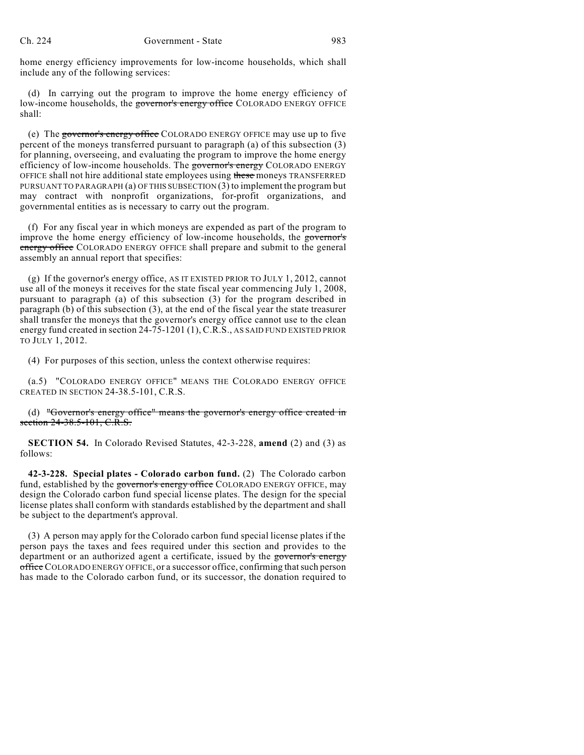home energy efficiency improvements for low-income households, which shall include any of the following services:

(d) In carrying out the program to improve the home energy efficiency of low-income households, the governor's energy office COLORADO ENERGY OFFICE shall:

(e) The governor's energy office COLORADO ENERGY OFFICE may use up to five percent of the moneys transferred pursuant to paragraph (a) of this subsection (3) for planning, overseeing, and evaluating the program to improve the home energy efficiency of low-income households. The governor's energy COLORADO ENERGY OFFICE shall not hire additional state employees using these moneys TRANSFERRED PURSUANT TO PARAGRAPH (a) OF THIS SUBSECTION (3) to implement the program but may contract with nonprofit organizations, for-profit organizations, and governmental entities as is necessary to carry out the program.

(f) For any fiscal year in which moneys are expended as part of the program to improve the home energy efficiency of low-income households, the governor's energy office COLORADO ENERGY OFFICE shall prepare and submit to the general assembly an annual report that specifies:

(g) If the governor's energy office, AS IT EXISTED PRIOR TO JULY 1, 2012, cannot use all of the moneys it receives for the state fiscal year commencing July 1, 2008, pursuant to paragraph (a) of this subsection (3) for the program described in paragraph (b) of this subsection (3), at the end of the fiscal year the state treasurer shall transfer the moneys that the governor's energy office cannot use to the clean energy fund created in section 24-75-1201 (1), C.R.S., AS SAID FUND EXISTED PRIOR TO JULY 1, 2012.

(4) For purposes of this section, unless the context otherwise requires:

(a.5) "COLORADO ENERGY OFFICE" MEANS THE COLORADO ENERGY OFFICE CREATED IN SECTION 24-38.5-101, C.R.S.

(d) "Governor's energy office" means the governor's energy office created in section 24-38.5-101, C.R.S.

**SECTION 54.** In Colorado Revised Statutes, 42-3-228, **amend** (2) and (3) as follows:

**42-3-228. Special plates - Colorado carbon fund.** (2) The Colorado carbon fund, established by the governor's energy office COLORADO ENERGY OFFICE, may design the Colorado carbon fund special license plates. The design for the special license plates shall conform with standards established by the department and shall be subject to the department's approval.

(3) A person may apply for the Colorado carbon fund special license plates if the person pays the taxes and fees required under this section and provides to the department or an authorized agent a certificate, issued by the governor's energy office COLORADO ENERGY OFFICE, or a successor office, confirming that such person has made to the Colorado carbon fund, or its successor, the donation required to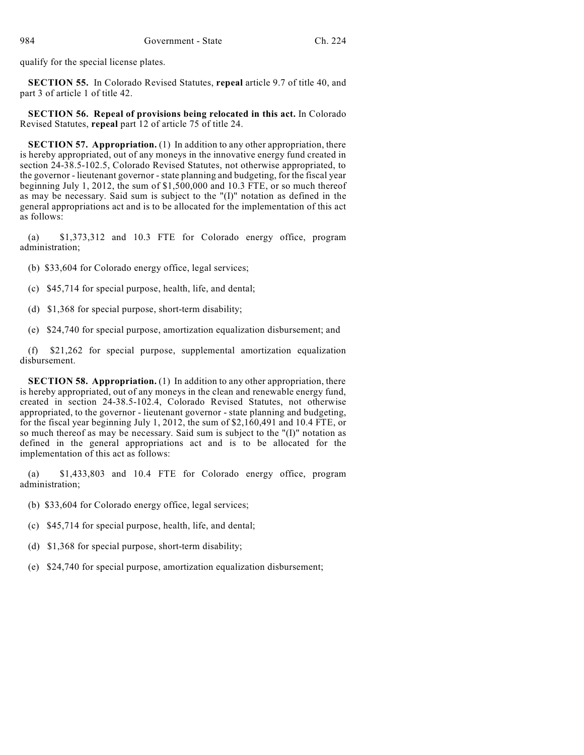qualify for the special license plates.

**SECTION 55.** In Colorado Revised Statutes, **repeal** article 9.7 of title 40, and part 3 of article 1 of title 42.

**SECTION 56. Repeal of provisions being relocated in this act.** In Colorado Revised Statutes, **repeal** part 12 of article 75 of title 24.

**SECTION 57. Appropriation.** (1) In addition to any other appropriation, there is hereby appropriated, out of any moneys in the innovative energy fund created in section 24-38.5-102.5, Colorado Revised Statutes, not otherwise appropriated, to the governor - lieutenant governor - state planning and budgeting, for the fiscal year beginning July 1, 2012, the sum of \$1,500,000 and 10.3 FTE, or so much thereof as may be necessary. Said sum is subject to the  $"(I)"$  notation as defined in the general appropriations act and is to be allocated for the implementation of this act as follows:

(a) \$1,373,312 and 10.3 FTE for Colorado energy office, program administration;

- (b) \$33,604 for Colorado energy office, legal services;
- (c) \$45,714 for special purpose, health, life, and dental;
- (d) \$1,368 for special purpose, short-term disability;
- (e) \$24,740 for special purpose, amortization equalization disbursement; and

(f) \$21,262 for special purpose, supplemental amortization equalization disbursement.

**SECTION 58. Appropriation.** (1) In addition to any other appropriation, there is hereby appropriated, out of any moneys in the clean and renewable energy fund, created in section 24-38.5-102.4, Colorado Revised Statutes, not otherwise appropriated, to the governor - lieutenant governor - state planning and budgeting, for the fiscal year beginning July 1, 2012, the sum of \$2,160,491 and 10.4 FTE, or so much thereof as may be necessary. Said sum is subject to the "(I)" notation as defined in the general appropriations act and is to be allocated for the implementation of this act as follows:

(a) \$1,433,803 and 10.4 FTE for Colorado energy office, program administration;

- (b) \$33,604 for Colorado energy office, legal services;
- (c) \$45,714 for special purpose, health, life, and dental;
- (d) \$1,368 for special purpose, short-term disability;
- (e) \$24,740 for special purpose, amortization equalization disbursement;